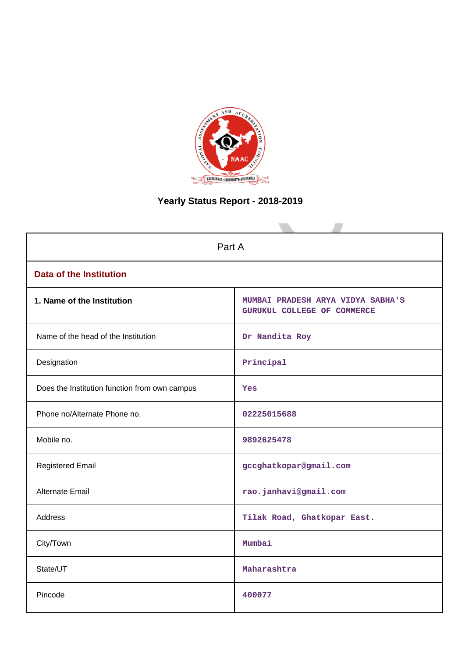

# **Yearly Status Report - 2018-2019**

| Part A                                        |                                                                  |  |  |
|-----------------------------------------------|------------------------------------------------------------------|--|--|
| <b>Data of the Institution</b>                |                                                                  |  |  |
| 1. Name of the Institution                    | MUMBAI PRADESH ARYA VIDYA SABHA'S<br>GURUKUL COLLEGE OF COMMERCE |  |  |
| Name of the head of the Institution           | Dr Nandita Roy                                                   |  |  |
| Designation                                   | Principal                                                        |  |  |
| Does the Institution function from own campus | Yes                                                              |  |  |
| Phone no/Alternate Phone no.                  | 02225015688                                                      |  |  |
| Mobile no.                                    | 9892625478                                                       |  |  |
| <b>Registered Email</b>                       | gccghatkopar@gmail.com                                           |  |  |
| Alternate Email                               | rao.janhavi@gmail.com                                            |  |  |
| <b>Address</b>                                | Tilak Road, Ghatkopar East.                                      |  |  |
| City/Town                                     | Mumbai                                                           |  |  |
| State/UT                                      | Maharashtra                                                      |  |  |
| Pincode                                       | 400077                                                           |  |  |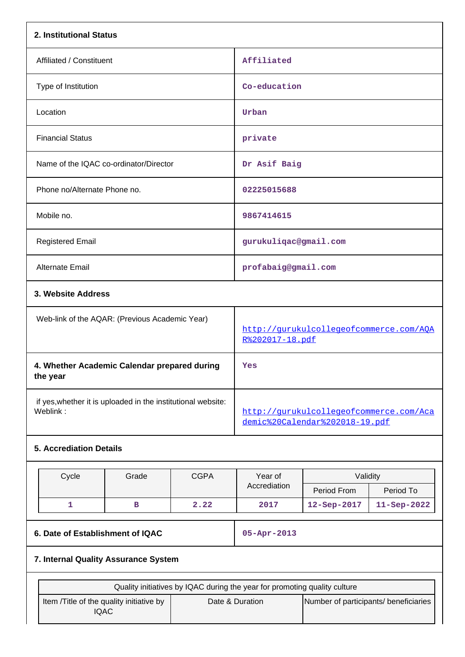| 2. Institutional Status                                                   |                                                |             |                                                          |                                                                           |             |  |
|---------------------------------------------------------------------------|------------------------------------------------|-------------|----------------------------------------------------------|---------------------------------------------------------------------------|-------------|--|
| Affiliated / Constituent                                                  |                                                |             | Affiliated                                               |                                                                           |             |  |
| Type of Institution                                                       |                                                |             | Co-education                                             |                                                                           |             |  |
| Location                                                                  |                                                |             | Urban                                                    |                                                                           |             |  |
| <b>Financial Status</b>                                                   |                                                |             | private                                                  |                                                                           |             |  |
| Name of the IQAC co-ordinator/Director                                    |                                                |             | Dr Asif Baig                                             |                                                                           |             |  |
| Phone no/Alternate Phone no.                                              |                                                |             | 02225015688                                              |                                                                           |             |  |
| Mobile no.                                                                |                                                |             | 9867414615                                               |                                                                           |             |  |
| <b>Registered Email</b>                                                   |                                                |             | gurukuliqac@gmail.com                                    |                                                                           |             |  |
| <b>Alternate Email</b>                                                    |                                                |             | profabaig@gmail.com                                      |                                                                           |             |  |
|                                                                           | 3. Website Address                             |             |                                                          |                                                                           |             |  |
|                                                                           | Web-link of the AQAR: (Previous Academic Year) |             |                                                          | http://qurukulcollegeofcommerce.com/AOA<br>R%202017-18.pdf                |             |  |
| 4. Whether Academic Calendar prepared during<br>the year                  |                                                |             | Yes                                                      |                                                                           |             |  |
| if yes, whether it is uploaded in the institutional website:<br>Weblink:  |                                                |             |                                                          | http://qurukulcollegeofcommerce.com/Aca<br>demic%20Calendar%202018-19.pdf |             |  |
| <b>5. Accrediation Details</b>                                            |                                                |             |                                                          |                                                                           |             |  |
| Cycle                                                                     | Grade                                          | <b>CGPA</b> | Year of                                                  | Validity                                                                  |             |  |
|                                                                           |                                                |             | Accrediation                                             | Period From                                                               | Period To   |  |
| $\mathbf{1}$                                                              | в                                              | 2.22        | 2017                                                     | 12-Sep-2017                                                               | 11-Sep-2022 |  |
| 6. Date of Establishment of IQAC                                          |                                                |             | 05-Apr-2013                                              |                                                                           |             |  |
| 7. Internal Quality Assurance System                                      |                                                |             |                                                          |                                                                           |             |  |
| Quality initiatives by IQAC during the year for promoting quality culture |                                                |             |                                                          |                                                                           |             |  |
| Item /Title of the quality initiative by<br><b>IQAC</b>                   |                                                |             | Date & Duration<br>Number of participants/ beneficiaries |                                                                           |             |  |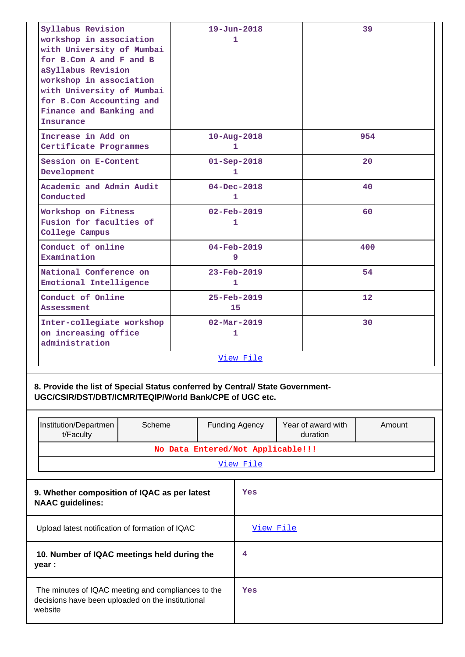| Syllabus Revision                                                                                                                                                             |                                                 |                                   | $19 - Jun - 2018$             |    |                                | 39                |
|-------------------------------------------------------------------------------------------------------------------------------------------------------------------------------|-------------------------------------------------|-----------------------------------|-------------------------------|----|--------------------------------|-------------------|
| workshop in association<br>with University of Mumbai<br>for B.Com A and F and B<br>aSyllabus Revision<br>workshop in association                                              |                                                 |                                   | 1                             |    |                                |                   |
| with University of Mumbai<br>for B.Com Accounting and<br>Finance and Banking and<br>Insurance                                                                                 |                                                 |                                   |                               |    |                                |                   |
| Increase in Add on<br>Certificate Programmes                                                                                                                                  |                                                 |                                   | $10 - Aug - 2018$<br>1        |    |                                | 954               |
| Session on E-Content<br>Development                                                                                                                                           |                                                 |                                   | $01 -$ Sep-2018<br>1.         |    |                                | 20                |
| Academic and Admin Audit<br>Conducted                                                                                                                                         |                                                 |                                   | $04 - Dec - 2018$<br>1        |    |                                | 40                |
| Workshop on Fitness<br>Fusion for faculties of<br>College Campus                                                                                                              |                                                 |                                   | $02 - Feb - 2019$<br>1        |    |                                | 60                |
| Conduct of online<br>Examination                                                                                                                                              |                                                 |                                   | 04-Feb-2019<br>9              |    | 400                            |                   |
| National Conference on<br>Emotional Intelligence                                                                                                                              |                                                 | $23 - Feb - 2019$<br>1            |                               | 54 |                                |                   |
| Conduct of Online<br>Assessment                                                                                                                                               |                                                 |                                   | $25 - Feb - 2019$<br>15       |    |                                | $12 \overline{ }$ |
| Inter-collegiate workshop<br>on increasing office<br>administration                                                                                                           |                                                 |                                   | $02 - \text{Mar} - 2019$<br>1 |    |                                | 30                |
|                                                                                                                                                                               |                                                 |                                   | <u>View File</u>              |    |                                |                   |
| 8. Provide the list of Special Status conferred by Central/ State Government-<br>UGC/CSIR/DST/DBT/ICMR/TEQIP/World Bank/CPE of UGC etc.<br>Institution/Departmen<br>t/Faculty | Scheme                                          |                                   | <b>Funding Agency</b>         |    | Year of award with<br>duration | Amount            |
|                                                                                                                                                                               |                                                 | No Data Entered/Not Applicable!!! |                               |    |                                |                   |
|                                                                                                                                                                               |                                                 |                                   | View File                     |    |                                |                   |
| 9. Whether composition of IQAC as per latest<br><b>NAAC</b> guidelines:                                                                                                       |                                                 |                                   | Yes                           |    |                                |                   |
|                                                                                                                                                                               | Upload latest notification of formation of IQAC |                                   |                               |    |                                |                   |
| 10. Number of IQAC meetings held during the<br>year :                                                                                                                         | 4                                               |                                   |                               |    |                                |                   |

| The minutes of IQAC meeting and compliances to the | Yes |
|----------------------------------------------------|-----|
| decisions have been uploaded on the institutional  |     |
| website                                            |     |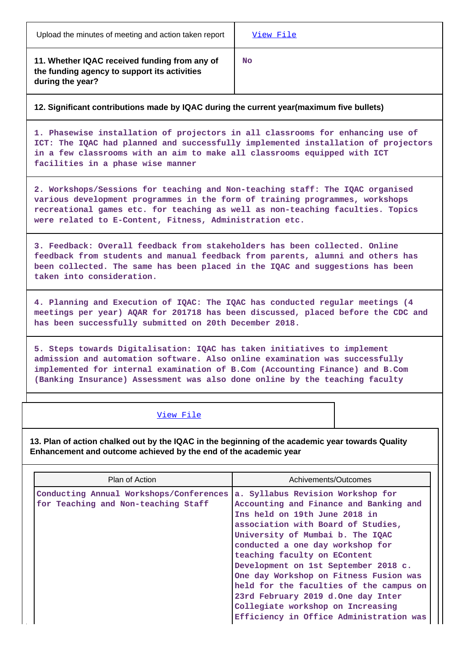**11. Whether IQAC received funding from any of the funding agency to support its activities during the year?**

**No**

# **12. Significant contributions made by IQAC during the current year(maximum five bullets)**

**1. Phasewise installation of projectors in all classrooms for enhancing use of ICT: The IQAC had planned and successfully implemented installation of projectors in a few classrooms with an aim to make all classrooms equipped with ICT facilities in a phase wise manner**

**2. Workshops/Sessions for teaching and Non-teaching staff: The IQAC organised various development programmes in the form of training programmes, workshops recreational games etc. for teaching as well as non-teaching faculties. Topics were related to E-Content, Fitness, Administration etc.**

**3. Feedback: Overall feedback from stakeholders has been collected. Online feedback from students and manual feedback from parents, alumni and others has been collected. The same has been placed in the IQAC and suggestions has been taken into consideration.**

**4. Planning and Execution of IQAC: The IQAC has conducted regular meetings (4 meetings per year) AQAR for 201718 has been discussed, placed before the CDC and has been successfully submitted on 20th December 2018.**

**5. Steps towards Digitalisation: IQAC has taken initiatives to implement admission and automation software. Also online examination was successfully implemented for internal examination of B.Com (Accounting Finance) and B.Com (Banking Insurance) Assessment was also done online by the teaching faculty**

## [View File](https://assessmentonline.naac.gov.in/public/Postacc/Contribution/1973_Contribution.xlsx)

**13. Plan of action chalked out by the IQAC in the beginning of the academic year towards Quality Enhancement and outcome achieved by the end of the academic year**

| Plan of Action                          | Achivements/Outcomes                    |
|-----------------------------------------|-----------------------------------------|
| Conducting Annual Workshops/Conferences | a. Syllabus Revision Workshop for       |
| for Teaching and Non-teaching Staff     | Accounting and Finance and Banking and  |
|                                         | Ins held on 19th June 2018 in           |
|                                         | association with Board of Studies,      |
|                                         | University of Mumbai b. The IQAC        |
|                                         | conducted a one day workshop for        |
|                                         | teaching faculty on EContent            |
|                                         | Development on 1st September 2018 c.    |
|                                         | One day Workshop on Fitness Fusion was  |
|                                         | held for the faculties of the campus on |
|                                         | 23rd February 2019 d.One day Inter      |
|                                         | Collegiate workshop on Increasing       |
|                                         | Efficiency in Office Administration was |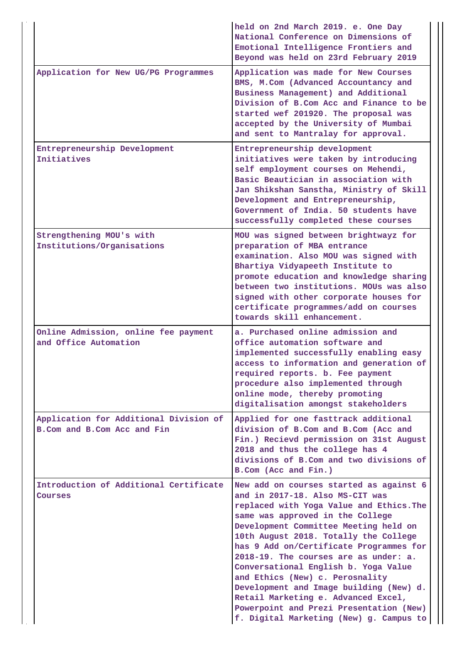|                                                                       | held on 2nd March 2019. e. One Day<br>National Conference on Dimensions of<br>Emotional Intelligence Frontiers and<br>Beyond was held on 23rd February 2019                                                                                                                                                                                                                                                                                                                                                                                                                         |
|-----------------------------------------------------------------------|-------------------------------------------------------------------------------------------------------------------------------------------------------------------------------------------------------------------------------------------------------------------------------------------------------------------------------------------------------------------------------------------------------------------------------------------------------------------------------------------------------------------------------------------------------------------------------------|
| Application for New UG/PG Programmes                                  | Application was made for New Courses<br>BMS, M.Com (Advanced Accountancy and<br>Business Management) and Additional<br>Division of B.Com Acc and Finance to be<br>started wef 201920. The proposal was<br>accepted by the University of Mumbai<br>and sent to Mantralay for approval.                                                                                                                                                                                                                                                                                               |
| Entrepreneurship Development<br>Initiatives                           | Entrepreneurship development<br>initiatives were taken by introducing<br>self employment courses on Mehendi,<br>Basic Beautician in association with<br>Jan Shikshan Sanstha, Ministry of Skill<br>Development and Entrepreneurship,<br>Government of India. 50 students have<br>successfully completed these courses                                                                                                                                                                                                                                                               |
| Strengthening MOU's with<br>Institutions/Organisations                | MOU was signed between brightwayz for<br>preparation of MBA entrance<br>examination. Also MOU was signed with<br>Bhartiya Vidyapeeth Institute to<br>promote education and knowledge sharing<br>between two institutions. MOUs was also<br>signed with other corporate houses for<br>certificate programmes/add on courses<br>towards skill enhancement.                                                                                                                                                                                                                            |
| Online Admission, online fee payment<br>and Office Automation         | a. Purchased online admission and<br>office automation software and<br>implemented successfully enabling easy<br>access to information and generation of<br>required reports. b. Fee payment<br>procedure also implemented through<br>online mode, thereby promoting<br>digitalisation amongst stakeholders                                                                                                                                                                                                                                                                         |
| Application for Additional Division of<br>B.Com and B.Com Acc and Fin | Applied for one fasttrack additional<br>division of B.Com and B.Com (Acc and<br>Fin.) Recievd permission on 31st August<br>2018 and thus the college has 4<br>divisions of B.Com and two divisions of<br>B.Com (Acc and Fin.)                                                                                                                                                                                                                                                                                                                                                       |
| Introduction of Additional Certificate<br>Courses                     | New add on courses started as against 6<br>and in 2017-18. Also MS-CIT was<br>replaced with Yoga Value and Ethics. The<br>same was approved in the College<br>Development Committee Meeting held on<br>10th August 2018. Totally the College<br>has 9 Add on/Certificate Programmes for<br>2018-19. The courses are as under: a.<br>Conversational English b. Yoga Value<br>and Ethics (New) c. Perosnality<br>Development and Image building (New) d.<br>Retail Marketing e. Advanced Excel,<br>Powerpoint and Prezi Presentation (New)<br>f. Digital Marketing (New) g. Campus to |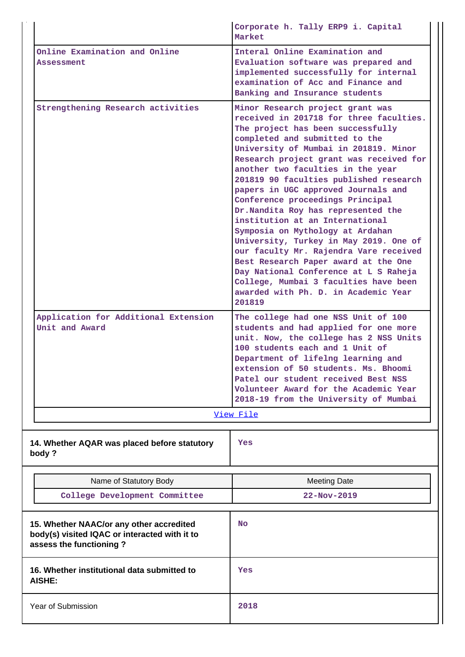|                                                                                                                      | Corporate h. Tally ERP9 i. Capital<br>Market                                                                                                                                                                                                                                                                                                                                                                                                                                                                                                                                                                                                                                                                                                                                   |  |  |  |
|----------------------------------------------------------------------------------------------------------------------|--------------------------------------------------------------------------------------------------------------------------------------------------------------------------------------------------------------------------------------------------------------------------------------------------------------------------------------------------------------------------------------------------------------------------------------------------------------------------------------------------------------------------------------------------------------------------------------------------------------------------------------------------------------------------------------------------------------------------------------------------------------------------------|--|--|--|
| Online Examination and Online<br>Assessment                                                                          | Interal Online Examination and<br>Evaluation software was prepared and<br>implemented successfully for internal<br>examination of Acc and Finance and<br>Banking and Insurance students                                                                                                                                                                                                                                                                                                                                                                                                                                                                                                                                                                                        |  |  |  |
| Strengthening Research activities                                                                                    | Minor Research project grant was<br>received in 201718 for three faculties.<br>The project has been successfully<br>completed and submitted to the<br>University of Mumbai in 201819. Minor<br>Research project grant was received for<br>another two faculties in the year<br>201819 90 faculties published research<br>papers in UGC approved Journals and<br>Conference proceedings Principal<br>Dr. Nandita Roy has represented the<br>institution at an International<br>Symposia on Mythology at Ardahan<br>University, Turkey in May 2019. One of<br>our faculty Mr. Rajendra Vare received<br>Best Research Paper award at the One<br>Day National Conference at L S Raheja<br>College, Mumbai 3 faculties have been<br>awarded with Ph. D. in Academic Year<br>201819 |  |  |  |
| Application for Additional Extension<br>Unit and Award                                                               | The college had one NSS Unit of 100<br>students and had applied for one more<br>unit. Now, the college has 2 NSS Units<br>100 students each and 1 Unit of<br>Department of lifelng learning and<br>extension of 50 students. Ms. Bhoomi<br>Patel our student received Best NSS<br>Volunteer Award for the Academic Year<br>2018-19 from the University of Mumbai                                                                                                                                                                                                                                                                                                                                                                                                               |  |  |  |
|                                                                                                                      | View File                                                                                                                                                                                                                                                                                                                                                                                                                                                                                                                                                                                                                                                                                                                                                                      |  |  |  |
| 14. Whether AQAR was placed before statutory<br>body?                                                                | Yes                                                                                                                                                                                                                                                                                                                                                                                                                                                                                                                                                                                                                                                                                                                                                                            |  |  |  |
| Name of Statutory Body                                                                                               | <b>Meeting Date</b>                                                                                                                                                                                                                                                                                                                                                                                                                                                                                                                                                                                                                                                                                                                                                            |  |  |  |
| College Development Committee                                                                                        | 22-Nov-2019                                                                                                                                                                                                                                                                                                                                                                                                                                                                                                                                                                                                                                                                                                                                                                    |  |  |  |
| 15. Whether NAAC/or any other accredited<br>body(s) visited IQAC or interacted with it to<br>assess the functioning? | <b>No</b>                                                                                                                                                                                                                                                                                                                                                                                                                                                                                                                                                                                                                                                                                                                                                                      |  |  |  |
| 16. Whether institutional data submitted to<br><b>AISHE:</b>                                                         | Yes                                                                                                                                                                                                                                                                                                                                                                                                                                                                                                                                                                                                                                                                                                                                                                            |  |  |  |
| Year of Submission                                                                                                   | 2018                                                                                                                                                                                                                                                                                                                                                                                                                                                                                                                                                                                                                                                                                                                                                                           |  |  |  |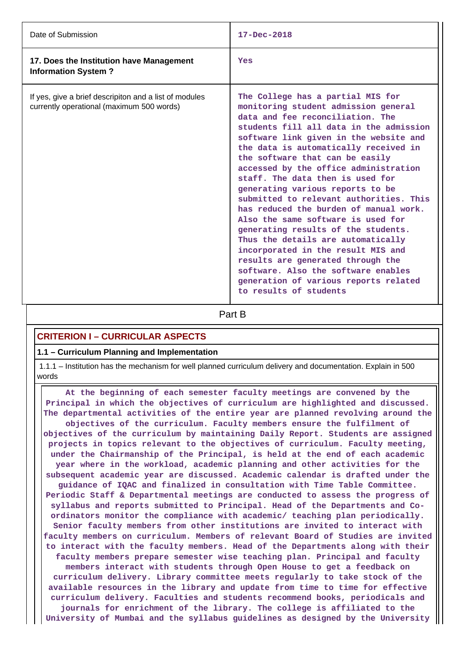| Date of Submission                                                                                  | $17 - Dec - 2018$                                                                                                                                                                                                                                                                                                                                                                                                                                                                                                                                                                                                                                                                                                                                                                            |
|-----------------------------------------------------------------------------------------------------|----------------------------------------------------------------------------------------------------------------------------------------------------------------------------------------------------------------------------------------------------------------------------------------------------------------------------------------------------------------------------------------------------------------------------------------------------------------------------------------------------------------------------------------------------------------------------------------------------------------------------------------------------------------------------------------------------------------------------------------------------------------------------------------------|
| 17. Does the Institution have Management<br><b>Information System?</b>                              | Yes                                                                                                                                                                                                                                                                                                                                                                                                                                                                                                                                                                                                                                                                                                                                                                                          |
| If yes, give a brief descripiton and a list of modules<br>currently operational (maximum 500 words) | The College has a partial MIS for<br>monitoring student admission general<br>data and fee reconciliation. The<br>students fill all data in the admission<br>software link given in the website and<br>the data is automatically received in<br>the software that can be easily<br>accessed by the office administration<br>staff. The data then is used for<br>generating various reports to be<br>submitted to relevant authorities. This<br>has reduced the burden of manual work.<br>Also the same software is used for<br>generating results of the students.<br>Thus the details are automatically<br>incorporated in the result MIS and<br>results are generated through the<br>software. Also the software enables<br>generation of various reports related<br>to results of students |

**Part B** 

# **CRITERION I – CURRICULAR ASPECTS**

#### **1.1 – Curriculum Planning and Implementation**

 1.1.1 – Institution has the mechanism for well planned curriculum delivery and documentation. Explain in 500 words

 **At the beginning of each semester faculty meetings are convened by the Principal in which the objectives of curriculum are highlighted and discussed. The departmental activities of the entire year are planned revolving around the objectives of the curriculum. Faculty members ensure the fulfilment of objectives of the curriculum by maintaining Daily Report. Students are assigned projects in topics relevant to the objectives of curriculum. Faculty meeting, under the Chairmanship of the Principal, is held at the end of each academic year where in the workload, academic planning and other activities for the subsequent academic year are discussed. Academic calendar is drafted under the guidance of IQAC and finalized in consultation with Time Table Committee. Periodic Staff & Departmental meetings are conducted to assess the progress of syllabus and reports submitted to Principal. Head of the Departments and Coordinators monitor the compliance with academic/ teaching plan periodically. Senior faculty members from other institutions are invited to interact with faculty members on curriculum. Members of relevant Board of Studies are invited to interact with the faculty members. Head of the Departments along with their faculty members prepare semester wise teaching plan. Principal and faculty members interact with students through Open House to get a feedback on curriculum delivery. Library committee meets regularly to take stock of the available resources in the library and update from time to time for effective curriculum delivery. Faculties and students recommend books, periodicals and journals for enrichment of the library. The college is affiliated to the University of Mumbai and the syllabus guidelines as designed by the University**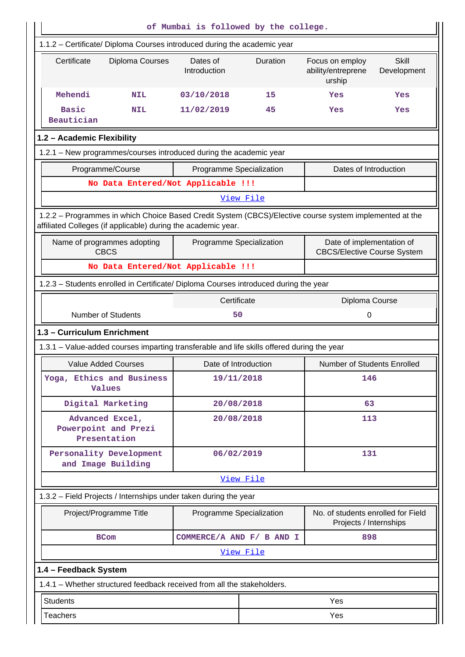|                                                                                            |                                          | of Mumbai is followed by the college.                                                |           |                                                                                                         |                             |
|--------------------------------------------------------------------------------------------|------------------------------------------|--------------------------------------------------------------------------------------|-----------|---------------------------------------------------------------------------------------------------------|-----------------------------|
| 1.1.2 - Certificate/ Diploma Courses introduced during the academic year                   |                                          |                                                                                      |           |                                                                                                         |                             |
| Certificate                                                                                | Diploma Courses                          | Dates of<br>Introduction                                                             | Duration  | Focus on employ<br>ability/entreprene<br>urship                                                         | <b>Skill</b><br>Development |
| Mehendi                                                                                    | <b>NIL</b>                               | 03/10/2018                                                                           | 15        | Yes                                                                                                     | Yes                         |
| <b>Basic</b><br>Beautician                                                                 | <b>NIL</b>                               | 11/02/2019                                                                           | 45        | Yes                                                                                                     | Yes                         |
| 1.2 - Academic Flexibility                                                                 |                                          |                                                                                      |           |                                                                                                         |                             |
| 1.2.1 - New programmes/courses introduced during the academic year                         |                                          |                                                                                      |           |                                                                                                         |                             |
| Programme/Course                                                                           |                                          | Programme Specialization                                                             |           | Dates of Introduction                                                                                   |                             |
|                                                                                            |                                          | No Data Entered/Not Applicable !!!                                                   |           |                                                                                                         |                             |
|                                                                                            |                                          |                                                                                      | View File |                                                                                                         |                             |
|                                                                                            |                                          | affiliated Colleges (if applicable) during the academic year.                        |           | 1.2.2 - Programmes in which Choice Based Credit System (CBCS)/Elective course system implemented at the |                             |
| Name of programmes adopting<br><b>CBCS</b>                                                 |                                          | Programme Specialization                                                             |           | Date of implementation of<br><b>CBCS/Elective Course System</b>                                         |                             |
| No Data Entered/Not Applicable !!!                                                         |                                          |                                                                                      |           |                                                                                                         |                             |
|                                                                                            |                                          | 1.2.3 - Students enrolled in Certificate/ Diploma Courses introduced during the year |           |                                                                                                         |                             |
| Certificate<br>Diploma Course                                                              |                                          |                                                                                      |           |                                                                                                         |                             |
| <b>Number of Students</b>                                                                  |                                          |                                                                                      | 50        |                                                                                                         |                             |
| 1.3 - Curriculum Enrichment                                                                |                                          |                                                                                      |           |                                                                                                         |                             |
| 1.3.1 – Value-added courses imparting transferable and life skills offered during the year |                                          |                                                                                      |           |                                                                                                         |                             |
| <b>Value Added Courses</b>                                                                 |                                          | Date of Introduction                                                                 |           | <b>Number of Students Enrolled</b>                                                                      |                             |
| Yoga, Ethics and Business<br><b>Values</b>                                                 |                                          | 19/11/2018                                                                           |           | 146                                                                                                     |                             |
| Digital Marketing                                                                          |                                          | 20/08/2018                                                                           |           | 63                                                                                                      |                             |
| Advanced Excel,<br>Powerpoint and Prezi<br>Presentation                                    |                                          | 20/08/2018                                                                           |           | 113                                                                                                     |                             |
| Personality Development<br>and Image Building                                              |                                          | 06/02/2019                                                                           |           | 131                                                                                                     |                             |
|                                                                                            |                                          |                                                                                      | View File |                                                                                                         |                             |
|                                                                                            |                                          | 1.3.2 - Field Projects / Internships under taken during the year                     |           |                                                                                                         |                             |
| Project/Programme Title                                                                    |                                          | Programme Specialization                                                             |           | No. of students enrolled for Field<br>Projects / Internships                                            |                             |
|                                                                                            | COMMERCE/A AND F/ B AND I<br><b>BCom</b> |                                                                                      |           | 898                                                                                                     |                             |
|                                                                                            |                                          |                                                                                      | View File |                                                                                                         |                             |
| 1.4 - Feedback System                                                                      |                                          |                                                                                      |           |                                                                                                         |                             |
|                                                                                            |                                          | 1.4.1 - Whether structured feedback received from all the stakeholders.              |           |                                                                                                         |                             |
| <b>Students</b>                                                                            |                                          |                                                                                      |           | Yes                                                                                                     |                             |
| <b>Teachers</b>                                                                            |                                          |                                                                                      |           | Yes                                                                                                     |                             |
|                                                                                            |                                          |                                                                                      |           |                                                                                                         |                             |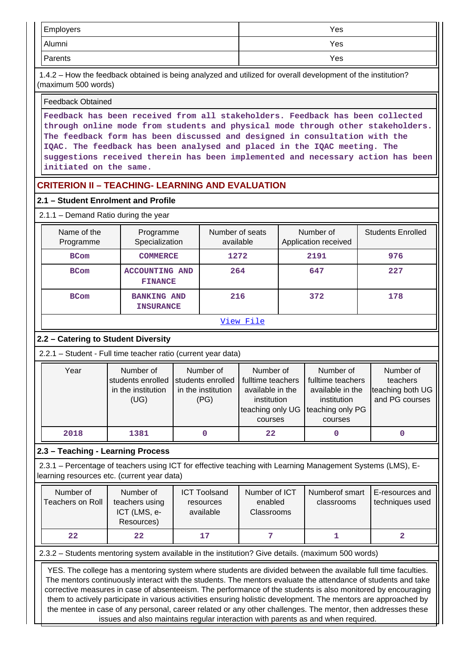| Employers | Yes |
|-----------|-----|
| Alumni    | Yes |
| Parents   | Yes |

 1.4.2 – How the feedback obtained is being analyzed and utilized for overall development of the institution? (maximum 500 words)

#### Feedback Obtained

**Feedback has been received from all stakeholders. Feedback has been collected through online mode from students and physical mode through other stakeholders. The feedback form has been discussed and designed in consultation with the IQAC. The feedback has been analysed and placed in the IQAC meeting. The suggestions received therein has been implemented and necessary action has been initiated on the same.**

# **CRITERION II – TEACHING- LEARNING AND EVALUATION**

## **2.1 – Student Enrolment and Profile**

## 2.1.1 – Demand Ratio during the year

| Name of the<br>Programme | Programme<br>Specialization             | Number of seats<br>available | Number of<br>Application received | <b>Students Enrolled</b> |
|--------------------------|-----------------------------------------|------------------------------|-----------------------------------|--------------------------|
| <b>BCom</b>              | <b>COMMERCE</b>                         | 1272                         | 2191                              | 976                      |
| <b>BCom</b>              | <b>ACCOUNTING AND</b><br><b>FINANCE</b> | 264                          | 647                               | 227                      |
| <b>BCom</b>              | <b>BANKING AND</b><br><b>INSURANCE</b>  | 216                          | 372                               | 178                      |

#### [View File](https://assessmentonline.naac.gov.in/public/Postacc/Demand_ratio/1973_Demand_ratio_1573706140.xlsx)

# **2.2 – Catering to Student Diversity**

2.2.1 – Student - Full time teacher ratio (current year data)

| Year | Number of<br>students enrolled<br>in the institution | Number of<br>students enrolled<br>in the institution | Number of<br>fulltime teachers<br>available in the           | Number of<br>fulltime teachers<br>available in the | Number of<br>teachers<br>teaching both UG |
|------|------------------------------------------------------|------------------------------------------------------|--------------------------------------------------------------|----------------------------------------------------|-------------------------------------------|
|      | (UG)                                                 | (PG)                                                 | institution<br>teaching only UG Iteaching only PG<br>courses | institution<br>courses                             | and PG courses                            |
| 2018 | 1381                                                 |                                                      | 22                                                           |                                                    |                                           |

# **2.3 – Teaching - Learning Process**

 2.3.1 – Percentage of teachers using ICT for effective teaching with Learning Management Systems (LMS), Elearning resources etc. (current year data)

| Number of<br>Teachers on Roll | Number of<br>teachers using<br>ICT (LMS, e-<br>Resources) | <b>ICT Toolsand</b><br>resources<br>available | Number of ICT<br>enabled<br><b>Classrooms</b> | Numberof smart<br>classrooms | I E-resources and<br>techniques used |
|-------------------------------|-----------------------------------------------------------|-----------------------------------------------|-----------------------------------------------|------------------------------|--------------------------------------|
| 22                            | 22                                                        | 17                                            |                                               |                              |                                      |

2.3.2 – Students mentoring system available in the institution? Give details. (maximum 500 words)

 YES. The college has a mentoring system where students are divided between the available full time faculties. The mentors continuously interact with the students. The mentors evaluate the attendance of students and take corrective measures in case of absenteeism. The performance of the students is also monitored by encouraging them to actively participate in various activities ensuring holistic development. The mentors are approached by the mentee in case of any personal, career related or any other challenges. The mentor, then addresses these issues and also maintains regular interaction with parents as and when required.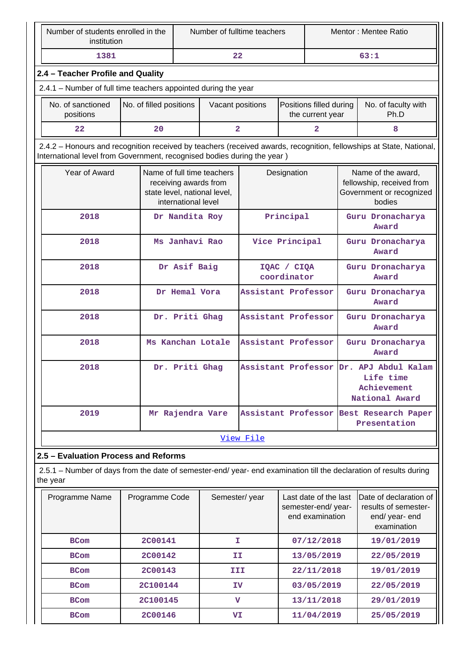| Number of students enrolled in the<br>institution                                                                              |                         |                     | Number of fulltime teachers                                                         |                            |                                                                |                           |                                                                      | Mentor: Mentee Ratio                                                                                                |  |  |
|--------------------------------------------------------------------------------------------------------------------------------|-------------------------|---------------------|-------------------------------------------------------------------------------------|----------------------------|----------------------------------------------------------------|---------------------------|----------------------------------------------------------------------|---------------------------------------------------------------------------------------------------------------------|--|--|
| 1381                                                                                                                           |                         |                     |                                                                                     | 22                         |                                                                |                           |                                                                      | 63:1                                                                                                                |  |  |
| 2.4 - Teacher Profile and Quality                                                                                              |                         |                     |                                                                                     |                            |                                                                |                           |                                                                      |                                                                                                                     |  |  |
| 2.4.1 - Number of full time teachers appointed during the year                                                                 |                         |                     |                                                                                     |                            |                                                                |                           |                                                                      |                                                                                                                     |  |  |
| No. of sanctioned<br>positions                                                                                                 | No. of filled positions | Vacant positions    |                                                                                     |                            | Positions filled during<br>the current year                    |                           |                                                                      | No. of faculty with<br>Ph.D                                                                                         |  |  |
| 22                                                                                                                             | 20                      |                     |                                                                                     | $\overline{a}$             |                                                                | 2                         |                                                                      | 8                                                                                                                   |  |  |
| International level from Government, recognised bodies during the year)                                                        |                         |                     |                                                                                     |                            |                                                                |                           |                                                                      | 2.4.2 – Honours and recognition received by teachers (received awards, recognition, fellowships at State, National, |  |  |
| Year of Award                                                                                                                  |                         | international level | Name of full time teachers<br>receiving awards from<br>state level, national level, |                            | Designation                                                    |                           |                                                                      | Name of the award,<br>fellowship, received from<br>Government or recognized<br>bodies                               |  |  |
| 2018                                                                                                                           |                         | Dr Nandita Roy      |                                                                                     |                            | Principal                                                      |                           |                                                                      | Guru Dronacharya<br>Award                                                                                           |  |  |
| 2018                                                                                                                           |                         | Ms Janhavi Rao      |                                                                                     |                            | Vice Principal                                                 |                           |                                                                      | Guru Dronacharya<br>Award                                                                                           |  |  |
| 2018                                                                                                                           |                         | Dr Asif Baig        |                                                                                     | IQAC / CIQA<br>coordinator |                                                                | Guru Dronacharya<br>Award |                                                                      |                                                                                                                     |  |  |
| 2018                                                                                                                           |                         | Dr Hemal Vora       |                                                                                     |                            | Assistant Professor                                            |                           |                                                                      | Guru Dronacharya<br>Award                                                                                           |  |  |
| 2018                                                                                                                           |                         | Dr. Priti Ghag      |                                                                                     | Assistant Professor        |                                                                |                           |                                                                      | Guru Dronacharya<br>Award                                                                                           |  |  |
| 2018                                                                                                                           |                         | Ms Kanchan Lotale   |                                                                                     | Assistant Professor        |                                                                |                           | Guru Dronacharya<br>Award                                            |                                                                                                                     |  |  |
| 2018                                                                                                                           |                         | Dr. Priti Ghag      |                                                                                     |                            | Assistant Professor                                            |                           | Dr.<br>APJ Abdul Kalam<br>Life time<br>Achievement<br>National Award |                                                                                                                     |  |  |
| 2019                                                                                                                           |                         |                     | Mr Rajendra Vare                                                                    | Assistant Professor        |                                                                |                           |                                                                      | Best Research Paper<br>Presentation                                                                                 |  |  |
|                                                                                                                                |                         |                     |                                                                                     | View File                  |                                                                |                           |                                                                      |                                                                                                                     |  |  |
| 2.5 - Evaluation Process and Reforms                                                                                           |                         |                     |                                                                                     |                            |                                                                |                           |                                                                      |                                                                                                                     |  |  |
| 2.5.1 - Number of days from the date of semester-end/ year- end examination till the declaration of results during<br>the year |                         |                     |                                                                                     |                            |                                                                |                           |                                                                      |                                                                                                                     |  |  |
| Programme Name                                                                                                                 | Programme Code          |                     | Semester/year                                                                       |                            | Last date of the last<br>semester-end/year-<br>end examination |                           |                                                                      | Date of declaration of<br>results of semester-<br>end/ year- end<br>examination                                     |  |  |
| <b>BCom</b>                                                                                                                    | <b>2C00141</b>          |                     | T.                                                                                  |                            |                                                                | 07/12/2018                |                                                                      | 19/01/2019                                                                                                          |  |  |
| <b>BCom</b>                                                                                                                    | <b>2C00142</b>          |                     | II                                                                                  |                            |                                                                | 13/05/2019                |                                                                      | 22/05/2019                                                                                                          |  |  |
| <b>BCom</b>                                                                                                                    | <b>2C00143</b>          |                     |                                                                                     | III                        |                                                                | 22/11/2018                |                                                                      | 19/01/2019                                                                                                          |  |  |
| <b>BCom</b>                                                                                                                    | 2C100144                |                     | IV                                                                                  |                            |                                                                | 03/05/2019                |                                                                      | 22/05/2019                                                                                                          |  |  |

**BCom 2C100145 V 13/11/2018 29/01/2019 BCom 2C00146 VI 11/04/2019 25/05/2019**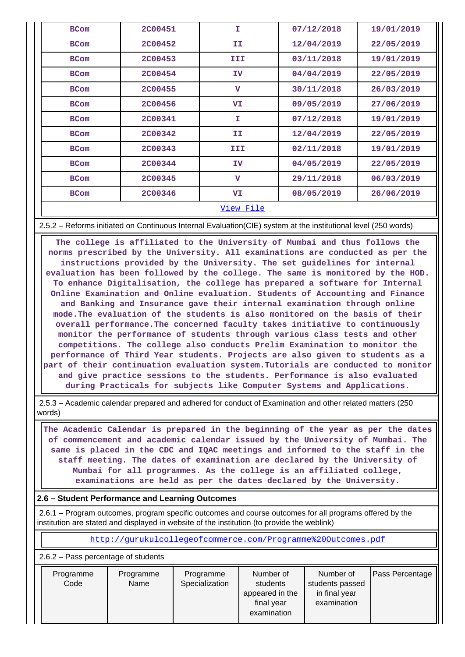| <b>BCom</b> | <b>2C00451</b>   | I                       | 07/12/2018 | 19/01/2019 |  |  |  |  |  |  |  |
|-------------|------------------|-------------------------|------------|------------|--|--|--|--|--|--|--|
| <b>BCom</b> | <b>2C00452</b>   | II.                     | 12/04/2019 | 22/05/2019 |  |  |  |  |  |  |  |
| <b>BCom</b> | <b>2C00453</b>   | III                     | 03/11/2018 | 19/01/2019 |  |  |  |  |  |  |  |
| <b>BCom</b> | <b>2C00454</b>   | IV                      | 04/04/2019 | 22/05/2019 |  |  |  |  |  |  |  |
| <b>BCom</b> | <b>2C00455</b>   | $\overline{\mathbf{v}}$ | 30/11/2018 | 26/03/2019 |  |  |  |  |  |  |  |
| <b>BCom</b> | 2C00456          | VI                      | 09/05/2019 | 27/06/2019 |  |  |  |  |  |  |  |
| <b>BCom</b> | <b>2C00341</b>   | T.                      | 07/12/2018 | 19/01/2019 |  |  |  |  |  |  |  |
| <b>BCom</b> | 2C00342          | II.                     | 12/04/2019 | 22/05/2019 |  |  |  |  |  |  |  |
| <b>BCom</b> | 2C00343          | III.                    | 02/11/2018 | 19/01/2019 |  |  |  |  |  |  |  |
| <b>BCom</b> | <b>2C00344</b>   | IV                      | 04/05/2019 | 22/05/2019 |  |  |  |  |  |  |  |
| <b>BCom</b> | <b>2C00345</b>   | $\mathbf{v}$            | 29/11/2018 | 06/03/2019 |  |  |  |  |  |  |  |
| <b>BCom</b> | <b>2C00346</b>   | VI                      | 08/05/2019 | 26/06/2019 |  |  |  |  |  |  |  |
|             | <u>View File</u> |                         |            |            |  |  |  |  |  |  |  |

2.5.2 – Reforms initiated on Continuous Internal Evaluation(CIE) system at the institutional level (250 words)

 **The college is affiliated to the University of Mumbai and thus follows the norms prescribed by the University. All examinations are conducted as per the instructions provided by the University. The set guidelines for internal evaluation has been followed by the college. The same is monitored by the HOD. To enhance Digitalisation, the college has prepared a software for Internal Online Examination and Online evaluation. Students of Accounting and Finance and Banking and Insurance gave their internal examination through online mode.The evaluation of the students is also monitored on the basis of their overall performance.The concerned faculty takes initiative to continuously monitor the performance of students through various class tests and other competitions. The college also conducts Prelim Examination to monitor the performance of Third Year students. Projects are also given to students as a part of their continuation evaluation system.Tutorials are conducted to monitor and give practice sessions to the students. Performance is also evaluated during Practicals for subjects like Computer Systems and Applications.**

 2.5.3 – Academic calendar prepared and adhered for conduct of Examination and other related matters (250 words)

 **The Academic Calendar is prepared in the beginning of the year as per the dates of commencement and academic calendar issued by the University of Mumbai. The same is placed in the CDC and IQAC meetings and informed to the staff in the staff meeting. The dates of examination are declared by the University of Mumbai for all programmes. As the college is an affiliated college, examinations are held as per the dates declared by the University.**

## **2.6 – Student Performance and Learning Outcomes**

 2.6.1 – Program outcomes, program specific outcomes and course outcomes for all programs offered by the institution are stated and displayed in website of the institution (to provide the weblink)

<http://gurukulcollegeofcommerce.com/Programme%20Outcomes.pdf>

2.6.2 – Pass percentage of students

| Programme | Programme | Programme      | Number of                                 | Number of                                       | <b>Pass Percentage</b> |
|-----------|-----------|----------------|-------------------------------------------|-------------------------------------------------|------------------------|
| Code      | Name      | Specialization | students<br>appeared in the<br>final year | students passed<br>in final year<br>examination |                        |
|           |           |                | examination                               |                                                 |                        |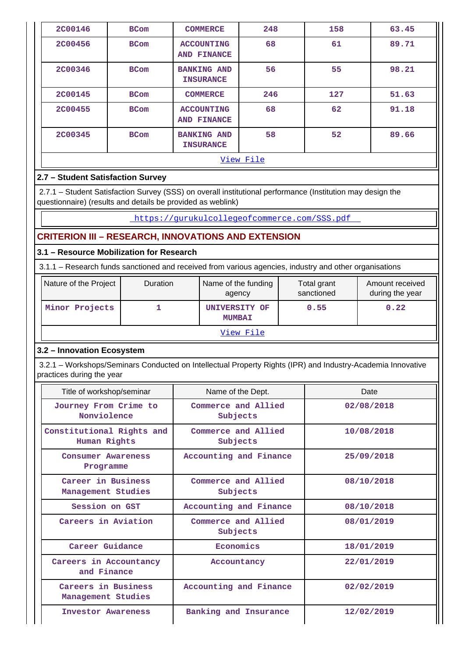| <b>2C00146</b>                            | <b>BCom</b>                              | <b>COMMERCE</b>                                                                                                                                                           | 248                 | 158         | 63.45                                                                                                       |  |
|-------------------------------------------|------------------------------------------|---------------------------------------------------------------------------------------------------------------------------------------------------------------------------|---------------------|-------------|-------------------------------------------------------------------------------------------------------------|--|
| <b>2C00456</b>                            | <b>BCom</b>                              | <b>ACCOUNTING</b><br>AND FINANCE                                                                                                                                          | 68                  | 61          | 89.71                                                                                                       |  |
| <b>2C00346</b>                            | <b>BCom</b>                              | <b>BANKING AND</b><br><b>INSURANCE</b>                                                                                                                                    | 56                  | 55          | 98.21                                                                                                       |  |
| <b>2C00145</b>                            | <b>BCom</b>                              | <b>COMMERCE</b>                                                                                                                                                           | 246                 | 127         | 51.63                                                                                                       |  |
| <b>2C00455</b><br><b>BCom</b>             |                                          | <b>ACCOUNTING</b><br><b>AND FINANCE</b>                                                                                                                                   | 68                  | 62          | 91.18                                                                                                       |  |
| <b>2C00345</b>                            | <b>BCom</b>                              | <b>BANKING AND</b><br><b>INSURANCE</b>                                                                                                                                    | 58                  | 52          | 89.66                                                                                                       |  |
|                                           |                                          |                                                                                                                                                                           | View File           |             |                                                                                                             |  |
| 2.7 - Student Satisfaction Survey         |                                          |                                                                                                                                                                           |                     |             |                                                                                                             |  |
|                                           |                                          | 2.7.1 - Student Satisfaction Survey (SSS) on overall institutional performance (Institution may design the<br>questionnaire) (results and details be provided as weblink) |                     |             |                                                                                                             |  |
|                                           |                                          | https://qurukulcollegeofcommerce.com/SSS.pdf                                                                                                                              |                     |             |                                                                                                             |  |
|                                           |                                          | <b>CRITERION III - RESEARCH, INNOVATIONS AND EXTENSION</b>                                                                                                                |                     |             |                                                                                                             |  |
|                                           | 3.1 - Resource Mobilization for Research |                                                                                                                                                                           |                     |             |                                                                                                             |  |
|                                           |                                          | 3.1.1 - Research funds sanctioned and received from various agencies, industry and other organisations                                                                    |                     |             |                                                                                                             |  |
| Nature of the Project                     | Duration                                 |                                                                                                                                                                           | Name of the funding | Total grant | Amount received                                                                                             |  |
|                                           |                                          | agency                                                                                                                                                                    |                     | sanctioned  | during the year                                                                                             |  |
| Minor Projects                            | $\mathbf{1}$                             | UNIVERSITY OF<br><b>MUMBAI</b>                                                                                                                                            |                     | 0.55        | 0.22                                                                                                        |  |
|                                           |                                          |                                                                                                                                                                           | View File           |             |                                                                                                             |  |
| 3.2 - Innovation Ecosystem                |                                          |                                                                                                                                                                           |                     |             |                                                                                                             |  |
| practices during the year                 |                                          |                                                                                                                                                                           |                     |             | 3.2.1 - Workshops/Seminars Conducted on Intellectual Property Rights (IPR) and Industry-Academia Innovative |  |
| Title of workshop/seminar                 |                                          | Name of the Dept.                                                                                                                                                         |                     |             | Date                                                                                                        |  |
| Journey From Crime to<br>Nonviolence      |                                          | Commerce and Allied<br>Subjects                                                                                                                                           |                     |             | 02/08/2018                                                                                                  |  |
| Constitutional Rights and<br>Human Rights |                                          | Commerce and Allied<br>Subjects                                                                                                                                           |                     | 10/08/2018  |                                                                                                             |  |
| <b>Consumer Awareness</b><br>Programme    |                                          | Accounting and Finance                                                                                                                                                    |                     | 25/09/2018  |                                                                                                             |  |
| Career in Business<br>Management Studies  |                                          | Commerce and Allied<br>Subjects                                                                                                                                           |                     | 08/10/2018  |                                                                                                             |  |
| Session on GST                            |                                          | Accounting and Finance                                                                                                                                                    |                     |             | 08/10/2018                                                                                                  |  |

**Subjects**

**Accountancy 22/01/2019**

**Accounting and Finance 02/02/2019**

**Career Guidance Economics 18/01/2019**

**Investor Awareness Banking and Insurance 12/02/2019**

**08/01/2019**

**Careers in Aviation Commerce and Allied**

**Careers in Accountancy and Finance**

**Careers in Business Management Studies**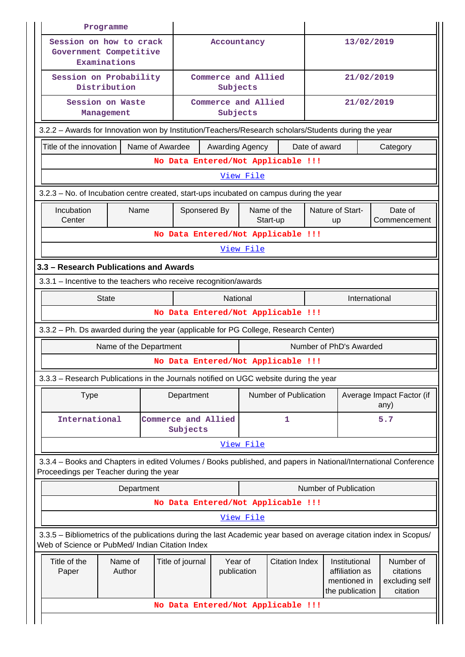|                                                                                         | Programme                                                                                                                                                             |                        |                 |                                 |                                                                                                      |                         |                                    |                               |                                                                    |                                                      |  |
|-----------------------------------------------------------------------------------------|-----------------------------------------------------------------------------------------------------------------------------------------------------------------------|------------------------|-----------------|---------------------------------|------------------------------------------------------------------------------------------------------|-------------------------|------------------------------------|-------------------------------|--------------------------------------------------------------------|------------------------------------------------------|--|
|                                                                                         | Session on how to crack<br>Government Competitive<br>Examinations                                                                                                     |                        |                 |                                 | Accountancy                                                                                          |                         |                                    |                               | 13/02/2019                                                         |                                                      |  |
|                                                                                         | Session on Probability<br>Distribution                                                                                                                                |                        |                 | Commerce and Allied<br>Subjects |                                                                                                      |                         |                                    | 21/02/2019                    |                                                                    |                                                      |  |
|                                                                                         | Session on Waste<br>Management                                                                                                                                        |                        |                 | Commerce and Allied<br>Subjects |                                                                                                      |                         | 21/02/2019                         |                               |                                                                    |                                                      |  |
|                                                                                         |                                                                                                                                                                       |                        |                 |                                 | 3.2.2 - Awards for Innovation won by Institution/Teachers/Research scholars/Students during the year |                         |                                    |                               |                                                                    |                                                      |  |
|                                                                                         | Title of the innovation                                                                                                                                               |                        | Name of Awardee |                                 | Awarding Agency                                                                                      |                         |                                    | Date of award                 |                                                                    | Category                                             |  |
|                                                                                         |                                                                                                                                                                       |                        |                 |                                 |                                                                                                      |                         | No Data Entered/Not Applicable !!! |                               |                                                                    |                                                      |  |
|                                                                                         |                                                                                                                                                                       |                        |                 |                                 |                                                                                                      | View File               |                                    |                               |                                                                    |                                                      |  |
| 3.2.3 – No. of Incubation centre created, start-ups incubated on campus during the year |                                                                                                                                                                       |                        |                 |                                 |                                                                                                      |                         |                                    |                               |                                                                    |                                                      |  |
|                                                                                         | Incubation<br>Center                                                                                                                                                  | Name                   | Sponsered By    |                                 |                                                                                                      | Name of the<br>Start-up |                                    | Nature of Start-<br><b>up</b> | Date of<br>Commencement                                            |                                                      |  |
|                                                                                         |                                                                                                                                                                       |                        |                 |                                 |                                                                                                      |                         | No Data Entered/Not Applicable !!! |                               |                                                                    |                                                      |  |
|                                                                                         |                                                                                                                                                                       |                        |                 |                                 |                                                                                                      | View File               |                                    |                               |                                                                    |                                                      |  |
|                                                                                         | 3.3 - Research Publications and Awards                                                                                                                                |                        |                 |                                 |                                                                                                      |                         |                                    |                               |                                                                    |                                                      |  |
|                                                                                         | 3.3.1 - Incentive to the teachers who receive recognition/awards                                                                                                      |                        |                 |                                 |                                                                                                      |                         |                                    |                               |                                                                    |                                                      |  |
|                                                                                         |                                                                                                                                                                       | <b>State</b>           |                 |                                 | National                                                                                             |                         | No Data Entered/Not Applicable !!! | International                 |                                                                    |                                                      |  |
|                                                                                         |                                                                                                                                                                       |                        |                 |                                 |                                                                                                      |                         |                                    |                               |                                                                    |                                                      |  |
|                                                                                         | 3.3.2 - Ph. Ds awarded during the year (applicable for PG College, Research Center)                                                                                   |                        |                 |                                 |                                                                                                      |                         |                                    |                               |                                                                    |                                                      |  |
|                                                                                         |                                                                                                                                                                       |                        |                 |                                 |                                                                                                      |                         |                                    |                               |                                                                    |                                                      |  |
|                                                                                         |                                                                                                                                                                       | Name of the Department |                 |                                 |                                                                                                      |                         | No Data Entered/Not Applicable !!! |                               | Number of PhD's Awarded                                            |                                                      |  |
|                                                                                         | 3.3.3 - Research Publications in the Journals notified on UGC website during the year                                                                                 |                        |                 |                                 |                                                                                                      |                         |                                    |                               |                                                                    |                                                      |  |
|                                                                                         | <b>Type</b>                                                                                                                                                           |                        |                 | Department                      |                                                                                                      |                         | Number of Publication              |                               |                                                                    | Average Impact Factor (if<br>any)                    |  |
|                                                                                         | International                                                                                                                                                         |                        |                 | Commerce and Allied<br>Subjects |                                                                                                      |                         | 1                                  |                               |                                                                    | 5.7                                                  |  |
|                                                                                         |                                                                                                                                                                       |                        |                 |                                 |                                                                                                      | View File               |                                    |                               |                                                                    |                                                      |  |
|                                                                                         | 3.3.4 - Books and Chapters in edited Volumes / Books published, and papers in National/International Conference<br>Proceedings per Teacher during the year            |                        |                 |                                 |                                                                                                      |                         |                                    |                               |                                                                    |                                                      |  |
|                                                                                         |                                                                                                                                                                       | Department             |                 |                                 |                                                                                                      |                         |                                    |                               | Number of Publication                                              |                                                      |  |
|                                                                                         |                                                                                                                                                                       |                        |                 |                                 |                                                                                                      |                         | No Data Entered/Not Applicable !!! |                               |                                                                    |                                                      |  |
|                                                                                         |                                                                                                                                                                       |                        |                 |                                 |                                                                                                      | View File               |                                    |                               |                                                                    |                                                      |  |
|                                                                                         | 3.3.5 - Bibliometrics of the publications during the last Academic year based on average citation index in Scopus/<br>Web of Science or PubMed/ Indian Citation Index |                        |                 |                                 |                                                                                                      |                         |                                    |                               |                                                                    |                                                      |  |
|                                                                                         | Title of the<br>Paper                                                                                                                                                 | Name of<br>Author      |                 | Title of journal                | Year of<br>publication                                                                               |                         | <b>Citation Index</b>              |                               | Institutional<br>affiliation as<br>mentioned in<br>the publication | Number of<br>citations<br>excluding self<br>citation |  |
|                                                                                         |                                                                                                                                                                       |                        |                 |                                 |                                                                                                      |                         | No Data Entered/Not Applicable !!! |                               |                                                                    |                                                      |  |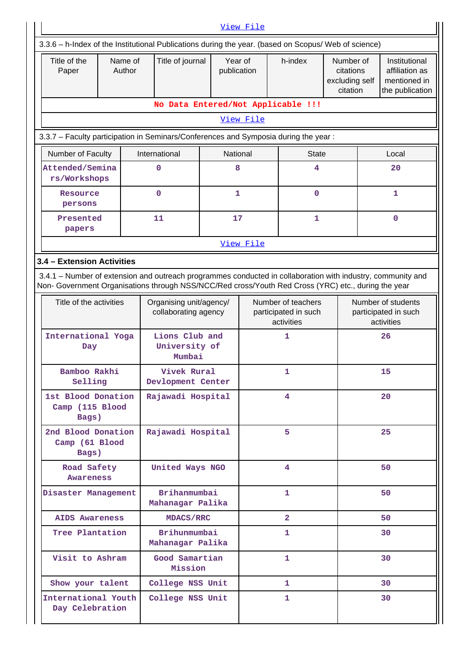|                                                                                                                                                                                                                    | View File                          |                                           |                                                 |                                    |                                                          |                                                      |    |                                                                    |  |  |  |
|--------------------------------------------------------------------------------------------------------------------------------------------------------------------------------------------------------------------|------------------------------------|-------------------------------------------|-------------------------------------------------|------------------------------------|----------------------------------------------------------|------------------------------------------------------|----|--------------------------------------------------------------------|--|--|--|
| 3.3.6 - h-Index of the Institutional Publications during the year. (based on Scopus/ Web of science)                                                                                                               |                                    |                                           |                                                 |                                    |                                                          |                                                      |    |                                                                    |  |  |  |
| Title of the<br>Paper                                                                                                                                                                                              | Name of<br>Author                  | Title of journal                          | Year of<br>publication                          |                                    | h-index                                                  | Number of<br>citations<br>excluding self<br>citation |    | Institutional<br>affiliation as<br>mentioned in<br>the publication |  |  |  |
|                                                                                                                                                                                                                    |                                    |                                           |                                                 | No Data Entered/Not Applicable !!! |                                                          |                                                      |    |                                                                    |  |  |  |
|                                                                                                                                                                                                                    |                                    |                                           |                                                 | View File                          |                                                          |                                                      |    |                                                                    |  |  |  |
| 3.3.7 - Faculty participation in Seminars/Conferences and Symposia during the year:                                                                                                                                |                                    |                                           |                                                 |                                    |                                                          |                                                      |    |                                                                    |  |  |  |
|                                                                                                                                                                                                                    | Number of Faculty<br>International |                                           | National                                        |                                    | <b>State</b>                                             |                                                      |    | Local                                                              |  |  |  |
| Attended/Semina<br>rs/Workshops                                                                                                                                                                                    |                                    | 0                                         | 8                                               |                                    | 4                                                        |                                                      |    | 20                                                                 |  |  |  |
| Resource<br>persons                                                                                                                                                                                                |                                    | 0                                         | 1                                               |                                    | 0                                                        |                                                      |    | 1                                                                  |  |  |  |
| Presented<br>papers                                                                                                                                                                                                |                                    | 11                                        | 17                                              |                                    | 1                                                        |                                                      |    | $\mathbf 0$                                                        |  |  |  |
|                                                                                                                                                                                                                    |                                    |                                           |                                                 | View File                          |                                                          |                                                      |    |                                                                    |  |  |  |
| 3.4 - Extension Activities                                                                                                                                                                                         |                                    |                                           |                                                 |                                    |                                                          |                                                      |    |                                                                    |  |  |  |
| 3.4.1 - Number of extension and outreach programmes conducted in collaboration with industry, community and<br>Non- Government Organisations through NSS/NCC/Red cross/Youth Red Cross (YRC) etc., during the year |                                    |                                           |                                                 |                                    |                                                          |                                                      |    |                                                                    |  |  |  |
| Title of the activities                                                                                                                                                                                            |                                    |                                           | Organising unit/agency/<br>collaborating agency |                                    | Number of teachers<br>participated in such<br>activities |                                                      |    | Number of students<br>participated in such<br>activities           |  |  |  |
| International Yoga<br>Day                                                                                                                                                                                          |                                    | Lions Club and<br>University of<br>Mumbai |                                                 |                                    | 1<br>1                                                   |                                                      | 26 |                                                                    |  |  |  |
| Bamboo Rakhi<br>Selling                                                                                                                                                                                            |                                    |                                           | Vivek Rural<br>Devlopment Center                |                                    |                                                          |                                                      | 15 |                                                                    |  |  |  |
| 1st Blood Donation<br>Camp (115 Blood<br>Bags)                                                                                                                                                                     |                                    | Rajawadi Hospital                         |                                                 |                                    | 4                                                        |                                                      |    | 20                                                                 |  |  |  |
| 2nd Blood Donation<br>Camp (61 Blood<br>Bags)                                                                                                                                                                      |                                    | Rajawadi Hospital                         |                                                 |                                    | 5                                                        |                                                      |    | 25                                                                 |  |  |  |
| Road Safety<br>Awareness                                                                                                                                                                                           |                                    | United Ways NGO                           |                                                 |                                    | 4                                                        |                                                      |    | 50                                                                 |  |  |  |
| Disaster Management                                                                                                                                                                                                |                                    | Brihanmumbai<br>Mahanagar Palika          |                                                 |                                    | 1                                                        |                                                      |    | 50                                                                 |  |  |  |
| <b>AIDS Awareness</b>                                                                                                                                                                                              |                                    | <b>MDACS/RRC</b>                          |                                                 |                                    | $\overline{2}$                                           |                                                      |    | 50                                                                 |  |  |  |
| Tree Plantation                                                                                                                                                                                                    |                                    | Brihunmumbai<br>Mahanagar Palika          |                                                 |                                    | 1                                                        |                                                      | 30 |                                                                    |  |  |  |
| Visit to Ashram                                                                                                                                                                                                    |                                    | Good Samartian<br>Mission                 |                                                 |                                    | $\mathbf{1}$                                             |                                                      |    | 30                                                                 |  |  |  |
| Show your talent                                                                                                                                                                                                   |                                    | College NSS Unit                          |                                                 |                                    | 1.                                                       |                                                      |    | 30                                                                 |  |  |  |
| International Youth<br>Day Celebration                                                                                                                                                                             |                                    | College NSS Unit                          |                                                 |                                    | 1                                                        |                                                      | 30 |                                                                    |  |  |  |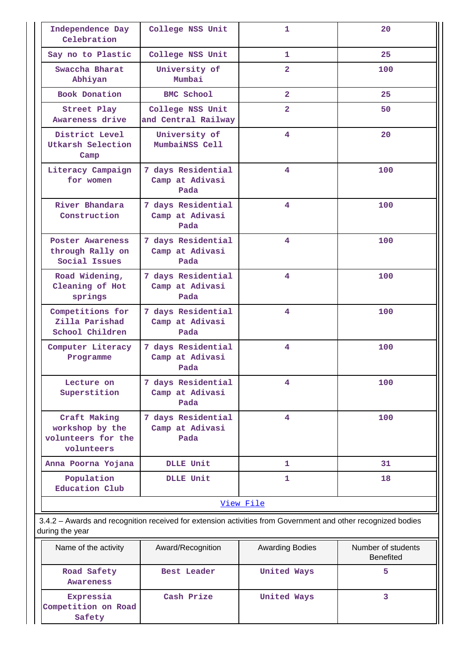| Independence Day<br>Celebration                                                                              | College NSS Unit                              | 1              | 20  |  |  |
|--------------------------------------------------------------------------------------------------------------|-----------------------------------------------|----------------|-----|--|--|
| Say no to Plastic                                                                                            | College NSS Unit                              | 1.             | 25  |  |  |
| Swaccha Bharat<br>Abhiyan                                                                                    | University of<br>Mumbai                       | $\overline{2}$ | 100 |  |  |
| <b>Book Donation</b>                                                                                         | <b>BMC School</b>                             | $\overline{2}$ | 25  |  |  |
| Street Play<br>Awareness drive                                                                               | College NSS Unit<br>and Central Railway       | $\overline{2}$ | 50  |  |  |
| District Level<br>Utkarsh Selection<br>Camp                                                                  | University of<br>MumbaiNSS Cell               | 4              | 20  |  |  |
| Literacy Campaign<br>for women                                                                               | 7 days Residential<br>Camp at Adivasi<br>Pada | 4              | 100 |  |  |
| River Bhandara<br>Construction                                                                               | 7 days Residential<br>Camp at Adivasi<br>Pada | 4              | 100 |  |  |
| Poster Awareness<br>through Rally on<br>Social Issues                                                        | 7 days Residential<br>Camp at Adivasi<br>Pada | 4              | 100 |  |  |
| Road Widening,<br>Cleaning of Hot<br>springs                                                                 | 7 days Residential<br>Camp at Adivasi<br>Pada | 4              | 100 |  |  |
| Competitions for<br>Zilla Parishad<br>School Children                                                        | 7 days Residential<br>Camp at Adivasi<br>Pada | 4              | 100 |  |  |
| Computer Literacy<br>Programme                                                                               | 7 days Residential<br>Camp at Adivasi<br>Pada | 4              | 100 |  |  |
| Lecture on<br>Superstition                                                                                   | 7 days Residential<br>Camp at Adivasi<br>Pada | 4              | 100 |  |  |
| Craft Making<br>workshop by the<br>volunteers for the<br>volunteers                                          | 7 days Residential<br>Camp at Adivasi<br>Pada | 4              | 100 |  |  |
| Anna Poorna Yojana                                                                                           | DLLE Unit                                     | 1              | 31  |  |  |
| Population<br>Education Club                                                                                 | <b>DLLE Unit</b>                              | 1              | 18  |  |  |
|                                                                                                              |                                               | View File      |     |  |  |
| 3.4.2 – Awards and recognition received for extension activities from Government and other recognized bodies |                                               |                |     |  |  |

3.4.2 – Awards and recognition received for extension activities from Government and other recognized b during the year

| Name of the activity                       | Award/Recognition | <b>Awarding Bodies</b> | Number of students<br><b>Benefited</b> |  |  |
|--------------------------------------------|-------------------|------------------------|----------------------------------------|--|--|
| Road Safety<br><b>Awareness</b>            | Best Leader       | United Ways            |                                        |  |  |
| Expressia<br>Competition on Road<br>Safety | Cash Prize        | United Ways            |                                        |  |  |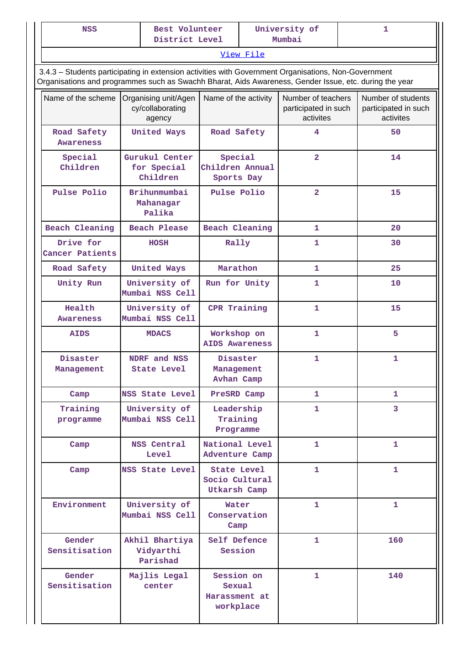| <b>NSS</b> |                                                                                                                                                                                                                |                                                    | Best Volunteer<br>District Level |                                                      |                                          | University of<br>Mumbai                                 | 1                                                       |
|------------|----------------------------------------------------------------------------------------------------------------------------------------------------------------------------------------------------------------|----------------------------------------------------|----------------------------------|------------------------------------------------------|------------------------------------------|---------------------------------------------------------|---------------------------------------------------------|
|            |                                                                                                                                                                                                                |                                                    |                                  |                                                      | View File                                |                                                         |                                                         |
|            | 3.4.3 - Students participating in extension activities with Government Organisations, Non-Government<br>Organisations and programmes such as Swachh Bharat, Aids Awareness, Gender Issue, etc. during the year |                                                    |                                  |                                                      |                                          |                                                         |                                                         |
|            | Name of the scheme                                                                                                                                                                                             | Organising unit/Agen<br>cy/collaborating<br>agency |                                  | Name of the activity                                 |                                          | Number of teachers<br>participated in such<br>activites | Number of students<br>participated in such<br>activites |
|            | United Ways<br>Road Safety<br><b>Awareness</b>                                                                                                                                                                 |                                                    |                                  | Road Safety                                          |                                          | 4                                                       | 50                                                      |
|            | Special<br>Children                                                                                                                                                                                            | Gurukul Center<br>for Special<br>Children          |                                  |                                                      | Special<br>Children Annual<br>Sports Day | $\overline{2}$                                          | 14                                                      |
|            | Pulse Polio                                                                                                                                                                                                    | Brihunmumbai<br>Mahanagar<br>Palika                |                                  | Pulse Polio                                          |                                          | $\overline{\mathbf{2}}$                                 | 15                                                      |
|            | <b>Beach Cleaning</b>                                                                                                                                                                                          | Beach Please                                       |                                  | <b>Beach Cleaning</b>                                |                                          | 1                                                       | 20                                                      |
|            | Drive for<br>Cancer Patients                                                                                                                                                                                   | <b>HOSH</b>                                        |                                  | Rally                                                |                                          | 1                                                       | 30                                                      |
|            | Road Safety                                                                                                                                                                                                    | United Ways                                        |                                  | Marathon                                             |                                          | $\mathbf{1}$                                            | 25                                                      |
|            | Unity Run                                                                                                                                                                                                      | University of<br>Mumbai NSS Cell                   |                                  | Run for Unity                                        |                                          | 1                                                       | 10                                                      |
|            | Health<br>Awareness                                                                                                                                                                                            | University of<br>Mumbai NSS Cell                   |                                  | CPR Training                                         |                                          | 1                                                       | 15                                                      |
|            | <b>AIDS</b>                                                                                                                                                                                                    | <b>MDACS</b>                                       |                                  | Workshop on<br><b>AIDS Awareness</b>                 |                                          | 1                                                       | 5                                                       |
|            | Disaster<br>Management                                                                                                                                                                                         | NDRF and NSS<br>State Level                        |                                  | Disaster<br>Management<br>Avhan Camp                 |                                          | $\mathbf{1}$                                            | $\mathbf{1}$                                            |
|            | Camp                                                                                                                                                                                                           | NSS State Level                                    |                                  | PreSRD Camp                                          |                                          | 1.                                                      | 1                                                       |
|            | Training<br>programme                                                                                                                                                                                          | University of<br>Mumbai NSS Cell                   |                                  | Leadership<br>Training<br>Programme                  |                                          | 1.                                                      | 3                                                       |
|            | Camp                                                                                                                                                                                                           | NSS Central<br><b>Level</b>                        |                                  | National Level<br>Adventure Camp                     |                                          | 1                                                       | 1                                                       |
|            | Camp                                                                                                                                                                                                           | <b>NSS State Level</b>                             |                                  | <b>State Level</b><br>Socio Cultural<br>Utkarsh Camp |                                          | 1.                                                      | $\mathbf{1}$                                            |
|            | Environment                                                                                                                                                                                                    | University of<br>Mumbai NSS Cell                   |                                  | Water<br>Conservation<br>Camp                        |                                          | 1.                                                      | 1                                                       |
|            | Gender<br>Sensitisation                                                                                                                                                                                        | Akhil Bhartiya<br>Vidyarthi<br>Parishad            |                                  | Self Defence<br>Session                              |                                          | 1.                                                      | 160                                                     |
|            | Gender<br>Sensitisation                                                                                                                                                                                        | Majlis Legal<br>center                             |                                  | Session on<br>Sexual<br>Harassment at<br>workplace   |                                          | $\mathbf{1}$                                            | 140                                                     |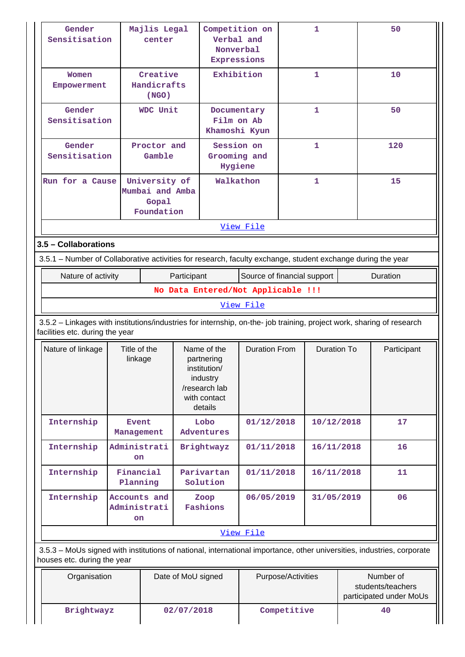| Gender<br>Majlis Legal<br>Sensitisation<br>center                                                                                                     |  |                                           | Competition on<br>Verbal and<br>Nonverbal<br>Expressions |                                                                                                   |                                    |                    | 1                  | 50                                                        |  |
|-------------------------------------------------------------------------------------------------------------------------------------------------------|--|-------------------------------------------|----------------------------------------------------------|---------------------------------------------------------------------------------------------------|------------------------------------|--------------------|--------------------|-----------------------------------------------------------|--|
| Women<br>Empowerment                                                                                                                                  |  | Creative<br>Handicrafts<br>(NGO)          |                                                          |                                                                                                   | Exhibition                         |                    | 1                  | 10                                                        |  |
| Gender<br>Sensitisation                                                                                                                               |  | WDC Unit                                  |                                                          | Documentary<br>Film on Ab<br>Khamoshi Kyun                                                        |                                    |                    | $\mathbf{1}$       | 50                                                        |  |
| Gender<br>Sensitisation                                                                                                                               |  | Proctor and<br>Gamble                     |                                                          | Hygiene                                                                                           | Session on<br>Grooming and         | $\mathbf{1}$       |                    | 120                                                       |  |
| University of<br>Run for a Cause<br>Mumbai and Amba<br>Gopal<br>Foundation                                                                            |  |                                           |                                                          |                                                                                                   | Walkathon                          |                    | $\mathbf{1}$       | 15                                                        |  |
|                                                                                                                                                       |  |                                           |                                                          |                                                                                                   | View File                          |                    |                    |                                                           |  |
| 3.5 - Collaborations                                                                                                                                  |  |                                           |                                                          |                                                                                                   |                                    |                    |                    |                                                           |  |
| 3.5.1 - Number of Collaborative activities for research, faculty exchange, student exchange during the year                                           |  |                                           |                                                          |                                                                                                   |                                    |                    |                    |                                                           |  |
| Nature of activity                                                                                                                                    |  |                                           | Participant                                              |                                                                                                   | Source of financial support        |                    |                    | Duration                                                  |  |
|                                                                                                                                                       |  |                                           |                                                          |                                                                                                   | No Data Entered/Not Applicable !!! |                    |                    |                                                           |  |
|                                                                                                                                                       |  |                                           |                                                          |                                                                                                   | View File                          |                    |                    |                                                           |  |
| 3.5.2 - Linkages with institutions/industries for internship, on-the- job training, project work, sharing of research                                 |  |                                           |                                                          |                                                                                                   |                                    |                    |                    |                                                           |  |
| facilities etc. during the year                                                                                                                       |  |                                           |                                                          |                                                                                                   |                                    |                    |                    |                                                           |  |
| Nature of linkage                                                                                                                                     |  | Title of the<br>linkage                   |                                                          | Name of the<br>partnering<br>institution/<br>industry<br>/research lab<br>with contact<br>details | <b>Duration From</b>               |                    | <b>Duration To</b> | Participant                                               |  |
| Internship                                                                                                                                            |  | <b>Event</b><br>Management                |                                                          | Lobo<br>Adventures                                                                                | 01/12/2018                         |                    | 10/12/2018         | 17                                                        |  |
| Internship                                                                                                                                            |  | Administrati<br><b>on</b>                 |                                                          | Brightwayz                                                                                        | 01/11/2018                         |                    | 16/11/2018         | 16                                                        |  |
| Internship                                                                                                                                            |  | Financial<br>Planning                     |                                                          | Parivartan<br>Solution                                                                            | 01/11/2018                         |                    | 16/11/2018         | 11                                                        |  |
| Internship                                                                                                                                            |  | Accounts and<br>Administrati<br><b>on</b> |                                                          | Zoop<br>Fashions                                                                                  | 06/05/2019                         |                    | 31/05/2019         | 06                                                        |  |
|                                                                                                                                                       |  |                                           |                                                          |                                                                                                   | View File                          |                    |                    |                                                           |  |
| 3.5.3 - MoUs signed with institutions of national, international importance, other universities, industries, corporate<br>houses etc. during the year |  |                                           |                                                          |                                                                                                   |                                    |                    |                    |                                                           |  |
| Organisation                                                                                                                                          |  |                                           | Date of MoU signed                                       |                                                                                                   |                                    | Purpose/Activities |                    | Number of<br>students/teachers<br>participated under MoUs |  |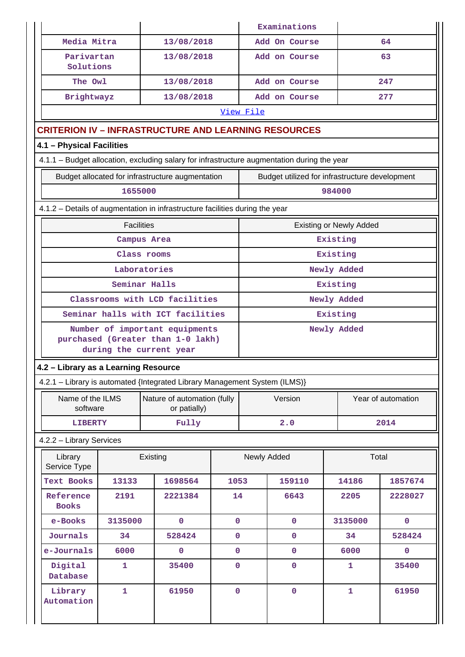|                                                                              |                                      |                                                                                             |                |             | Examinations                                   |                                |       |                    |  |  |  |
|------------------------------------------------------------------------------|--------------------------------------|---------------------------------------------------------------------------------------------|----------------|-------------|------------------------------------------------|--------------------------------|-------|--------------------|--|--|--|
|                                                                              | Media Mitra                          | 13/08/2018                                                                                  |                |             | Add On Course                                  |                                |       | 64                 |  |  |  |
|                                                                              | Parivartan<br>Solutions              | 13/08/2018                                                                                  |                |             | Add on Course                                  |                                |       | 63                 |  |  |  |
|                                                                              | The Owl                              | 13/08/2018                                                                                  |                |             | Add on Course                                  |                                |       | 247                |  |  |  |
|                                                                              | Brightwayz                           | 13/08/2018                                                                                  |                |             | Add on Course                                  |                                |       | 277                |  |  |  |
|                                                                              |                                      |                                                                                             |                | View File   |                                                |                                |       |                    |  |  |  |
|                                                                              |                                      | <b>CRITERION IV - INFRASTRUCTURE AND LEARNING RESOURCES</b>                                 |                |             |                                                |                                |       |                    |  |  |  |
| 4.1 - Physical Facilities                                                    |                                      |                                                                                             |                |             |                                                |                                |       |                    |  |  |  |
|                                                                              |                                      | 4.1.1 - Budget allocation, excluding salary for infrastructure augmentation during the year |                |             |                                                |                                |       |                    |  |  |  |
|                                                                              |                                      | Budget allocated for infrastructure augmentation                                            |                |             | Budget utilized for infrastructure development |                                |       |                    |  |  |  |
|                                                                              |                                      | 1655000                                                                                     |                |             |                                                | 984000                         |       |                    |  |  |  |
| 4.1.2 - Details of augmentation in infrastructure facilities during the year |                                      |                                                                                             |                |             |                                                |                                |       |                    |  |  |  |
|                                                                              |                                      | <b>Facilities</b>                                                                           |                |             |                                                | <b>Existing or Newly Added</b> |       |                    |  |  |  |
|                                                                              |                                      | Campus Area                                                                                 |                |             |                                                | Existing                       |       |                    |  |  |  |
|                                                                              |                                      | Class rooms                                                                                 |                |             |                                                | Existing                       |       |                    |  |  |  |
|                                                                              |                                      | Laboratories                                                                                |                |             |                                                | Newly Added                    |       |                    |  |  |  |
|                                                                              |                                      | Seminar Halls                                                                               |                |             |                                                | Existing                       |       |                    |  |  |  |
|                                                                              |                                      | Classrooms with LCD facilities                                                              |                |             |                                                | Newly Added                    |       |                    |  |  |  |
|                                                                              |                                      | Seminar halls with ICT facilities                                                           |                | Existing    |                                                |                                |       |                    |  |  |  |
|                                                                              |                                      | Number of important equipments                                                              |                | Newly Added |                                                |                                |       |                    |  |  |  |
|                                                                              |                                      | purchased (Greater than 1-0 lakh)<br>during the current year                                |                |             |                                                |                                |       |                    |  |  |  |
|                                                                              | 4.2 - Library as a Learning Resource |                                                                                             |                |             |                                                |                                |       |                    |  |  |  |
|                                                                              |                                      | 4.2.1 - Library is automated {Integrated Library Management System (ILMS)}                  |                |             |                                                |                                |       |                    |  |  |  |
|                                                                              | Name of the ILMS                     | Nature of automation (fully                                                                 |                |             | Version                                        |                                |       | Year of automation |  |  |  |
|                                                                              | software                             | or patially)                                                                                |                |             |                                                |                                |       |                    |  |  |  |
|                                                                              | <b>LIBERTY</b>                       | Fully                                                                                       |                |             | 2.0                                            |                                |       | 2014               |  |  |  |
| 4.2.2 - Library Services                                                     |                                      |                                                                                             |                |             |                                                |                                |       |                    |  |  |  |
| Library<br>Service Type                                                      |                                      | Existing                                                                                    |                |             | Newly Added                                    |                                | Total |                    |  |  |  |
| Text Books                                                                   | 13133                                | 1698564                                                                                     | 1053           |             | 159110                                         | 14186                          |       | 1857674            |  |  |  |
| Reference<br><b>Books</b>                                                    | 2191                                 | 2221384                                                                                     | 14             |             | 6643                                           | 2205                           |       | 2228027            |  |  |  |
| e-Books                                                                      | 3135000                              | $\mathbf 0$                                                                                 | $\overline{0}$ |             | $\mathbf 0$                                    | 3135000                        |       | $\mathbf 0$        |  |  |  |
| Journals                                                                     | 34                                   | 528424                                                                                      | $\pmb{0}$      |             | 0                                              | 34                             |       | 528424             |  |  |  |
| e-Journals                                                                   | 6000                                 | $\pmb{0}$                                                                                   | $\mathbf 0$    |             | 0                                              | 6000                           |       | $\pmb{0}$          |  |  |  |
| Digital<br>Database                                                          | $\mathbf{1}$                         | 35400                                                                                       | $\mathbf 0$    |             | $\mathbf 0$                                    | $\mathbf{1}$                   |       | 35400              |  |  |  |
| Library<br>Automation                                                        | $\mathbf{1}$                         | 61950                                                                                       | $\mathbf 0$    |             | $\mathbf 0$                                    | $\mathbf{1}$                   |       | 61950              |  |  |  |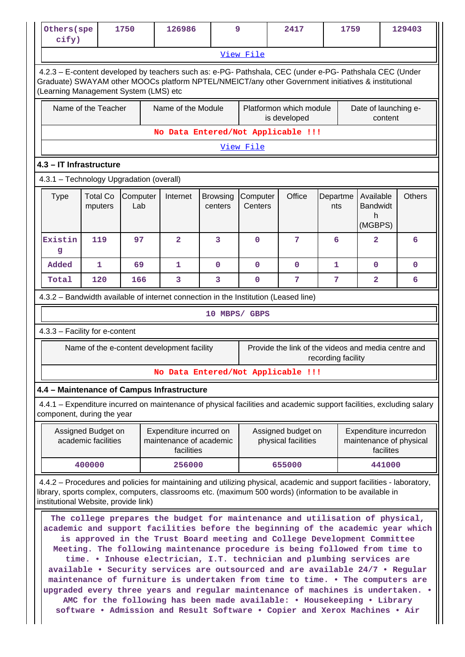| Others (spe<br>cify)                                                                                                                                                                                                                                                                                                                                                                                                                        |                                           | 1750     |     | 126986                                                                                                                                                                                                                                                                                                                                                                                                                                                                                                                                                                                                                                          | 9                          |                                           | 2417                                                | 1759               |                                                                |         | 129403        |
|---------------------------------------------------------------------------------------------------------------------------------------------------------------------------------------------------------------------------------------------------------------------------------------------------------------------------------------------------------------------------------------------------------------------------------------------|-------------------------------------------|----------|-----|-------------------------------------------------------------------------------------------------------------------------------------------------------------------------------------------------------------------------------------------------------------------------------------------------------------------------------------------------------------------------------------------------------------------------------------------------------------------------------------------------------------------------------------------------------------------------------------------------------------------------------------------------|----------------------------|-------------------------------------------|-----------------------------------------------------|--------------------|----------------------------------------------------------------|---------|---------------|
| View File                                                                                                                                                                                                                                                                                                                                                                                                                                   |                                           |          |     |                                                                                                                                                                                                                                                                                                                                                                                                                                                                                                                                                                                                                                                 |                            |                                           |                                                     |                    |                                                                |         |               |
| 4.2.3 - E-content developed by teachers such as: e-PG- Pathshala, CEC (under e-PG- Pathshala CEC (Under<br>Graduate) SWAYAM other MOOCs platform NPTEL/NMEICT/any other Government initiatives & institutional<br>(Learning Management System (LMS) etc                                                                                                                                                                                     |                                           |          |     |                                                                                                                                                                                                                                                                                                                                                                                                                                                                                                                                                                                                                                                 |                            |                                           |                                                     |                    |                                                                |         |               |
|                                                                                                                                                                                                                                                                                                                                                                                                                                             | Name of the Teacher                       |          |     | Name of the Module                                                                                                                                                                                                                                                                                                                                                                                                                                                                                                                                                                                                                              |                            |                                           | Platformon which module<br>is developed             |                    | Date of launching e-                                           | content |               |
|                                                                                                                                                                                                                                                                                                                                                                                                                                             |                                           |          |     | No Data Entered/Not Applicable !!!                                                                                                                                                                                                                                                                                                                                                                                                                                                                                                                                                                                                              |                            |                                           |                                                     |                    |                                                                |         |               |
|                                                                                                                                                                                                                                                                                                                                                                                                                                             |                                           |          |     |                                                                                                                                                                                                                                                                                                                                                                                                                                                                                                                                                                                                                                                 |                            | View File                                 |                                                     |                    |                                                                |         |               |
| 4.3 - IT Infrastructure                                                                                                                                                                                                                                                                                                                                                                                                                     |                                           |          |     |                                                                                                                                                                                                                                                                                                                                                                                                                                                                                                                                                                                                                                                 |                            |                                           |                                                     |                    |                                                                |         |               |
| 4.3.1 - Technology Upgradation (overall)                                                                                                                                                                                                                                                                                                                                                                                                    |                                           |          |     |                                                                                                                                                                                                                                                                                                                                                                                                                                                                                                                                                                                                                                                 |                            |                                           |                                                     |                    |                                                                |         |               |
| Type                                                                                                                                                                                                                                                                                                                                                                                                                                        | <b>Total Co</b><br>mputers                | Computer | Lab | Internet                                                                                                                                                                                                                                                                                                                                                                                                                                                                                                                                                                                                                                        | <b>Browsing</b><br>centers | Computer<br>Centers                       | Office                                              | Departme<br>nts    | Available<br><b>Bandwidt</b><br>h<br>(MGBPS)                   |         | <b>Others</b> |
| Existin<br>g                                                                                                                                                                                                                                                                                                                                                                                                                                | 119                                       |          | 97  | $\overline{2}$                                                                                                                                                                                                                                                                                                                                                                                                                                                                                                                                                                                                                                  | 3                          | $\Omega$                                  | 7                                                   | 6                  | $\overline{a}$                                                 |         | 6             |
| Added                                                                                                                                                                                                                                                                                                                                                                                                                                       | $\mathbf{1}$                              |          | 69  | $\mathbf{1}$                                                                                                                                                                                                                                                                                                                                                                                                                                                                                                                                                                                                                                    | $\mathbf 0$                | $\mathbf 0$                               | $\mathbf 0$                                         | 1                  | $\mathbf 0$                                                    |         | 0             |
| Total                                                                                                                                                                                                                                                                                                                                                                                                                                       | 120                                       |          | 166 | 3                                                                                                                                                                                                                                                                                                                                                                                                                                                                                                                                                                                                                                               | 3                          | $\mathbf{0}$                              | 7                                                   | 7                  | $\overline{2}$                                                 |         | 6             |
|                                                                                                                                                                                                                                                                                                                                                                                                                                             |                                           |          |     | 4.3.2 - Bandwidth available of internet connection in the Institution (Leased line)                                                                                                                                                                                                                                                                                                                                                                                                                                                                                                                                                             |                            |                                           |                                                     |                    |                                                                |         |               |
|                                                                                                                                                                                                                                                                                                                                                                                                                                             |                                           |          |     |                                                                                                                                                                                                                                                                                                                                                                                                                                                                                                                                                                                                                                                 | 10 MBPS/ GBPS              |                                           |                                                     |                    |                                                                |         |               |
| 4.3.3 - Facility for e-content                                                                                                                                                                                                                                                                                                                                                                                                              |                                           |          |     |                                                                                                                                                                                                                                                                                                                                                                                                                                                                                                                                                                                                                                                 |                            |                                           |                                                     |                    |                                                                |         |               |
|                                                                                                                                                                                                                                                                                                                                                                                                                                             |                                           |          |     | Name of the e-content development facility                                                                                                                                                                                                                                                                                                                                                                                                                                                                                                                                                                                                      |                            |                                           | Provide the link of the videos and media centre and | recording facility |                                                                |         |               |
|                                                                                                                                                                                                                                                                                                                                                                                                                                             |                                           |          |     | No Data Entered/Not Applicable !!!                                                                                                                                                                                                                                                                                                                                                                                                                                                                                                                                                                                                              |                            |                                           |                                                     |                    |                                                                |         |               |
|                                                                                                                                                                                                                                                                                                                                                                                                                                             |                                           |          |     | 4.4 - Maintenance of Campus Infrastructure                                                                                                                                                                                                                                                                                                                                                                                                                                                                                                                                                                                                      |                            |                                           |                                                     |                    |                                                                |         |               |
| component, during the year                                                                                                                                                                                                                                                                                                                                                                                                                  |                                           |          |     | 4.4.1 – Expenditure incurred on maintenance of physical facilities and academic support facilities, excluding salary                                                                                                                                                                                                                                                                                                                                                                                                                                                                                                                            |                            |                                           |                                                     |                    |                                                                |         |               |
|                                                                                                                                                                                                                                                                                                                                                                                                                                             | Assigned Budget on<br>academic facilities |          |     | Expenditure incurred on<br>maintenance of academic<br>facilities                                                                                                                                                                                                                                                                                                                                                                                                                                                                                                                                                                                |                            | Assigned budget on<br>physical facilities |                                                     |                    | Expenditure incurredon<br>maintenance of physical<br>facilites |         |               |
|                                                                                                                                                                                                                                                                                                                                                                                                                                             | 400000                                    |          |     | 256000                                                                                                                                                                                                                                                                                                                                                                                                                                                                                                                                                                                                                                          |                            | 655000                                    |                                                     |                    | 441000                                                         |         |               |
| 4.4.2 – Procedures and policies for maintaining and utilizing physical, academic and support facilities - laboratory,<br>library, sports complex, computers, classrooms etc. (maximum 500 words) (information to be available in<br>institutional Website, provide link)<br>The college prepares the budget for maintenance and utilisation of physical,<br>academic and support facilities before the beginning of the academic year which |                                           |          |     |                                                                                                                                                                                                                                                                                                                                                                                                                                                                                                                                                                                                                                                 |                            |                                           |                                                     |                    |                                                                |         |               |
|                                                                                                                                                                                                                                                                                                                                                                                                                                             |                                           |          |     | is approved in the Trust Board meeting and College Development Committee<br>Meeting. The following maintenance procedure is being followed from time to<br>time. . Inhouse electrician, I.T. technician and plumbing services are<br>available . Security services are outsourced and are available 24/7 . Regular<br>maintenance of furniture is undertaken from time to time. . The computers are<br>upgraded every three years and regular maintenance of machines is undertaken. .<br>AMC for the following has been made available: . Housekeeping . Library<br>software . Admission and Result Software . Copier and Xerox Machines . Air |                            |                                           |                                                     |                    |                                                                |         |               |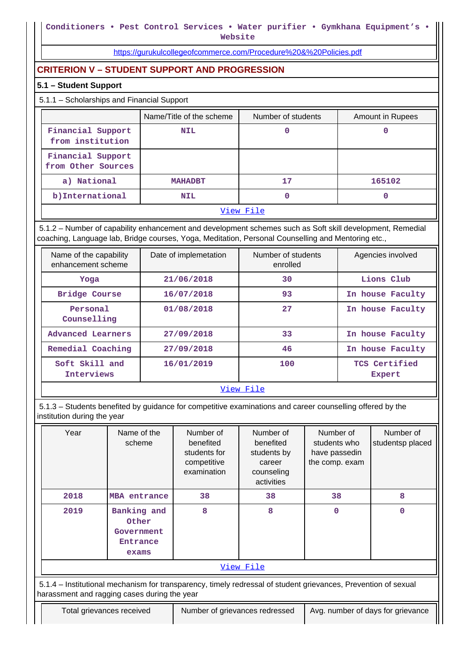**Website**

<https://gurukulcollegeofcommerce.com/Procedure%20&%20Policies.pdf>

# **CRITERION V – STUDENT SUPPORT AND PROGRESSION**

#### **5.1 – Student Support**

## 5.1.1 – Scholarships and Financial Support

|                                         | Name/Title of the scheme | Number of students | <b>Amount in Rupees</b> |  |  |  |
|-----------------------------------------|--------------------------|--------------------|-------------------------|--|--|--|
| Financial Support<br>from institution   | <b>NIL</b>               |                    |                         |  |  |  |
| Financial Support<br>from Other Sources |                          |                    |                         |  |  |  |
| a) National                             | <b>MAHADBT</b>           | 17                 | 165102                  |  |  |  |
| b) International                        | <b>NIL</b>               |                    |                         |  |  |  |
| View File                               |                          |                    |                         |  |  |  |

 5.1.2 – Number of capability enhancement and development schemes such as Soft skill development, Remedial coaching, Language lab, Bridge courses, Yoga, Meditation, Personal Counselling and Mentoring etc.,

| Name of the capability<br>enhancement scheme | Date of implemetation | Number of students<br>enrolled | Agencies involved              |  |  |  |
|----------------------------------------------|-----------------------|--------------------------------|--------------------------------|--|--|--|
| Yoga                                         | 21/06/2018            | 30                             | Lions Club                     |  |  |  |
| Bridge Course                                | 16/07/2018            | 93                             | In house Faculty               |  |  |  |
| Personal<br>Counselling                      | 01/08/2018            | 27                             | In house Faculty               |  |  |  |
| Advanced Learners                            | 27/09/2018            | 33                             | In house Faculty               |  |  |  |
| Remedial Coaching                            | 27/09/2018            | 46                             | In house Faculty               |  |  |  |
| Soft Skill and<br>Interviews                 | 16/01/2019            | 100                            | TCS Certified<br><b>Expert</b> |  |  |  |
| View File                                    |                       |                                |                                |  |  |  |

 5.1.3 – Students benefited by guidance for competitive examinations and career counselling offered by the institution during the year

| Year                                                                                                                                                           | Name of the<br>scheme                                   | Number of<br>benefited<br>students for<br>competitive<br>examination | Number of<br>benefited<br>students by<br>career<br>counseling<br>activities | Number of<br>students who<br>have passedin<br>the comp. exam | Number of<br>studentsp placed |  |
|----------------------------------------------------------------------------------------------------------------------------------------------------------------|---------------------------------------------------------|----------------------------------------------------------------------|-----------------------------------------------------------------------------|--------------------------------------------------------------|-------------------------------|--|
| 2018                                                                                                                                                           | MBA entrance                                            | 38                                                                   | 38                                                                          | 38                                                           | 8                             |  |
| 2019                                                                                                                                                           | Banking and<br>Other<br>Government<br>Entrance<br>exams | 8                                                                    | 8                                                                           | 0                                                            | 0                             |  |
| View File                                                                                                                                                      |                                                         |                                                                      |                                                                             |                                                              |                               |  |
| 5.1.4 – Institutional mechanism for transparency, timely redressal of student grievances, Prevention of sexual<br>harassment and ragging cases during the year |                                                         |                                                                      |                                                                             |                                                              |                               |  |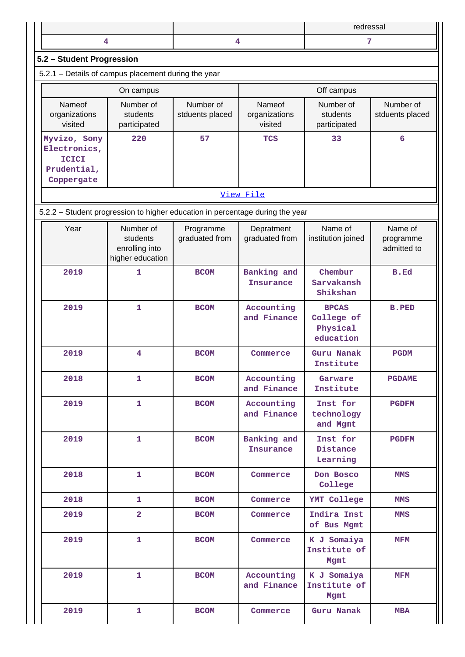|                           |  | redressal |  |  |  |  |  |
|---------------------------|--|-----------|--|--|--|--|--|
|                           |  |           |  |  |  |  |  |
| 5.2 - Student Progression |  |           |  |  |  |  |  |

|  | 5.2.1 - Details of campus placement during the year |  |  |
|--|-----------------------------------------------------|--|--|
|  |                                                     |  |  |

|                                                                           | On campus                             |                              | Off campus                         |                                       |                              |  |
|---------------------------------------------------------------------------|---------------------------------------|------------------------------|------------------------------------|---------------------------------------|------------------------------|--|
| Nameof<br>organizations<br>visited                                        | Number of<br>students<br>participated | Number of<br>stduents placed | Nameof<br>organizations<br>visited | Number of<br>students<br>participated | Number of<br>stduents placed |  |
| Myvizo, Sony<br>Electronics,<br><b>ICICI</b><br>Prudential,<br>Coppergate | 220                                   | 57                           | <b>TCS</b>                         | 33                                    | 6                            |  |

#### [View File](https://assessmentonline.naac.gov.in/public/Postacc/Placement/1973_Placement_1575353123.xlsx)

5.2.2 – Student progression to higher education in percentage during the year

| Year | Number of<br>students<br>enrolling into<br>higher education | Programme<br>graduated from | Depratment<br>graduated from    | Name of<br>institution joined                       | Name of<br>programme<br>admitted to |
|------|-------------------------------------------------------------|-----------------------------|---------------------------------|-----------------------------------------------------|-------------------------------------|
| 2019 | 1                                                           | <b>BCOM</b>                 | Banking and<br><b>Insurance</b> | Chembur<br>Sarvakansh<br>Shikshan                   | B.Ed                                |
| 2019 | 1                                                           | <b>BCOM</b>                 | Accounting<br>and Finance       | <b>BPCAS</b><br>College of<br>Physical<br>education | <b>B.PED</b>                        |
| 2019 | 4                                                           | <b>BCOM</b>                 | Commerce                        | Guru Nanak<br>Institute                             | <b>PGDM</b>                         |
| 2018 | $\mathbf{1}$                                                | <b>BCOM</b>                 | Accounting<br>and Finance       | Garware<br>Institute                                | <b>PGDAME</b>                       |
| 2019 | 1                                                           | <b>BCOM</b>                 | Accounting<br>and Finance       | Inst for<br>technology<br>and Mgmt                  | <b>PGDFM</b>                        |
| 2019 | 1                                                           | <b>BCOM</b>                 | Banking and<br><b>Insurance</b> | Inst for<br>Distance<br>Learning                    | <b>PGDFM</b>                        |
| 2018 | 1                                                           | <b>BCOM</b>                 | Commerce                        | Don Bosco<br>College                                | <b>MMS</b>                          |
| 2018 | 1                                                           | <b>BCOM</b>                 | Commerce                        | YMT College                                         | <b>MMS</b>                          |
| 2019 | $\overline{\mathbf{2}}$                                     | <b>BCOM</b>                 | Commerce                        | Indira Inst<br>of Bus Mgmt                          | <b>MMS</b>                          |
| 2019 | $\mathbf{1}$                                                | <b>BCOM</b>                 | Commerce                        | K J Somaiya<br>Institute of<br>Mgmt                 | <b>MFM</b>                          |
| 2019 | 1                                                           | <b>BCOM</b>                 | Accounting<br>and Finance       | K J Somaiya<br>Institute of<br>Mgmt                 | <b>MFM</b>                          |
| 2019 | $\mathbf{1}$                                                | <b>BCOM</b>                 | Commerce                        | Guru Nanak                                          | <b>MBA</b>                          |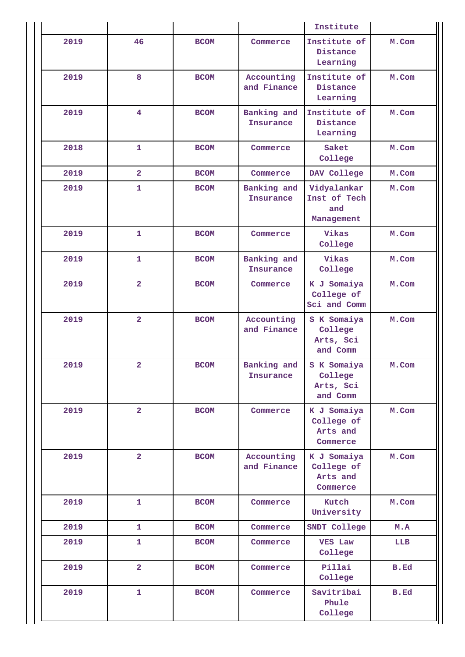|      |                |             |                           | Institute                                         |             |
|------|----------------|-------------|---------------------------|---------------------------------------------------|-------------|
| 2019 | 46             | <b>BCOM</b> | Commerce                  | Institute of<br>Distance<br>Learning              | M.Com       |
| 2019 | 8              | <b>BCOM</b> | Accounting<br>and Finance | Institute of<br>Distance<br>Learning              | M.Com       |
| 2019 | 4              | <b>BCOM</b> | Banking and<br>Insurance  | Institute of<br>Distance<br>Learning              | M.Com       |
| 2018 | 1              | <b>BCOM</b> | Commerce                  | Saket<br>College                                  | M.Com       |
| 2019 | $\overline{2}$ | <b>BCOM</b> | Commerce                  | DAV College                                       | M.Com       |
| 2019 | $\mathbf{1}$   | <b>BCOM</b> | Banking and<br>Insurance  | Vidyalankar<br>Inst of Tech<br>and<br>Management  | M.Com       |
| 2019 | $\mathbf{1}$   | <b>BCOM</b> | Commerce                  | Vikas<br>College                                  | M.Com       |
| 2019 | $\mathbf{1}$   | <b>BCOM</b> | Banking and<br>Insurance  | Vikas<br>College                                  | M.Com       |
| 2019 | $\overline{2}$ | <b>BCOM</b> | Commerce                  | K J Somaiya<br>College of<br>Sci and Comm         | M.Com       |
| 2019 | $\overline{a}$ | <b>BCOM</b> | Accounting<br>and Finance | S K Somaiya<br>College<br>Arts, Sci<br>and Comm   | M.Com       |
| 2019 | $\overline{a}$ | <b>BCOM</b> | Banking and<br>Insurance  | S K Somaiya<br>College<br>Arts, Sci<br>and Comm   | M.Com       |
| 2019 | $\overline{2}$ | <b>BCOM</b> | Commerce                  | K J Somaiya<br>College of<br>Arts and<br>Commerce | M.Com       |
| 2019 | $\overline{a}$ | <b>BCOM</b> | Accounting<br>and Finance | K J Somaiya<br>College of<br>Arts and<br>Commerce | M.Com       |
| 2019 | $\mathbf{1}$   | <b>BCOM</b> | Commerce                  | Kutch<br>University                               | M.Com       |
| 2019 | 1              | <b>BCOM</b> | Commerce                  | SNDT College                                      | M.A         |
| 2019 | $\mathbf{1}$   | <b>BCOM</b> | Commerce                  | <b>VES Law</b><br>College                         | LLB         |
| 2019 | $\overline{2}$ | <b>BCOM</b> | Commerce                  | Pillai<br>College                                 | B.Ed        |
| 2019 | $\mathbf{1}$   | <b>BCOM</b> | Commerce                  | Savitribai<br>Phule<br>College                    | <b>B.Ed</b> |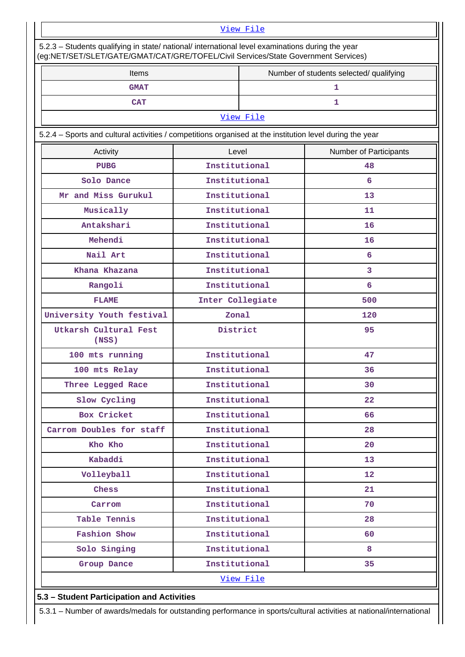#### [View File](https://assessmentonline.naac.gov.in/public/Postacc/Progression/1973_Progression_1574405956.xlsx)

| Items                                                                                                    |                  | Number of students selected/ qualifying |                        |  |  |
|----------------------------------------------------------------------------------------------------------|------------------|-----------------------------------------|------------------------|--|--|
| <b>GMAT</b>                                                                                              |                  | 1                                       |                        |  |  |
| <b>CAT</b>                                                                                               |                  | 1                                       |                        |  |  |
|                                                                                                          |                  | View File                               |                        |  |  |
| 5.2.4 - Sports and cultural activities / competitions organised at the institution level during the year |                  |                                         |                        |  |  |
| Activity                                                                                                 | Level            |                                         | Number of Participants |  |  |
| PUBG                                                                                                     | Institutional    |                                         | 48                     |  |  |
| Solo Dance                                                                                               | Institutional    |                                         | 6                      |  |  |
| Mr and Miss Gurukul                                                                                      | Institutional    |                                         | 13                     |  |  |
| Musically                                                                                                | Institutional    |                                         | 11                     |  |  |
| Antakshari                                                                                               | Institutional    |                                         | 16                     |  |  |
| Mehendi                                                                                                  | Institutional    |                                         | 16                     |  |  |
| Nail Art                                                                                                 | Institutional    |                                         | 6                      |  |  |
| Khana Khazana                                                                                            | Institutional    |                                         | 3                      |  |  |
| Rangoli                                                                                                  | Institutional    |                                         | 6                      |  |  |
| <b>FLAME</b>                                                                                             | Inter Collegiate |                                         | 500                    |  |  |
| University Youth festival                                                                                | Zonal            |                                         | 120                    |  |  |
| Utkarsh Cultural Fest<br>(NSS)                                                                           | District         |                                         | 95                     |  |  |
| 100 mts running                                                                                          | Institutional    |                                         | 47                     |  |  |
| 100 mts Relay                                                                                            | Institutional    |                                         | 36                     |  |  |
| Three Legged Race                                                                                        | Institutional    |                                         | 30                     |  |  |
| Slow Cycling                                                                                             | Institutional    |                                         | 22                     |  |  |
| Box Cricket                                                                                              | Institutional    |                                         | 66                     |  |  |
| Carrom Doubles for staff                                                                                 | Institutional    |                                         | 28                     |  |  |
| Kho Kho                                                                                                  | Institutional    |                                         | 20                     |  |  |
| Kabaddi                                                                                                  | Institutional    |                                         | 13                     |  |  |
| Volleyball                                                                                               | Institutional    |                                         | $12 \overline{ }$      |  |  |
| Chess                                                                                                    | Institutional    |                                         | 21                     |  |  |
| Carrom                                                                                                   | Institutional    |                                         | 70                     |  |  |
| Table Tennis                                                                                             | Institutional    |                                         | 28                     |  |  |
| Fashion Show                                                                                             | Institutional    |                                         | 60                     |  |  |
| Solo Singing                                                                                             | Institutional    |                                         | 8                      |  |  |
| Group Dance                                                                                              | Institutional    |                                         | 35                     |  |  |
|                                                                                                          |                  | View File                               |                        |  |  |

**5.3 – Student Participation and Activities**

5.3.1 – Number of awards/medals for outstanding performance in sports/cultural activities at national/international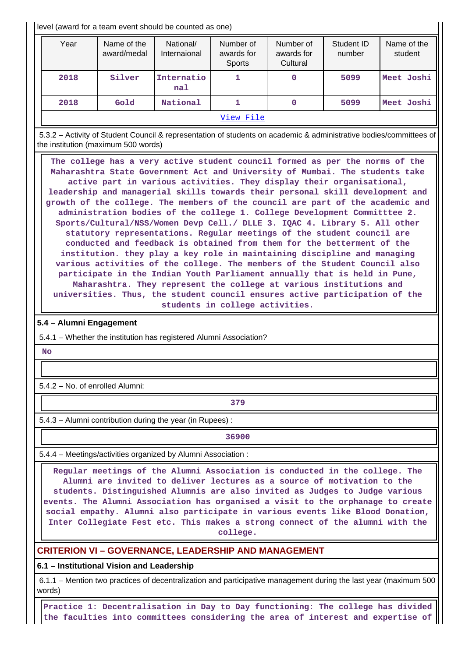level (award for a team event should be counted as one)

| Year      | Name of the<br>award/medal | National/<br>Internaional | Number of<br>awards for<br><b>Sports</b> | Number of<br>awards for<br>Cultural | Student ID<br>number | Name of the<br>student |  |
|-----------|----------------------------|---------------------------|------------------------------------------|-------------------------------------|----------------------|------------------------|--|
| 2018      | Silver                     | Internatio<br>na1         |                                          | 0                                   | 5099                 | Meet Joshi             |  |
| 2018      | Gold                       | National                  |                                          | 0                                   | 5099                 | Meet Joshi             |  |
| View File |                            |                           |                                          |                                     |                      |                        |  |

 5.3.2 – Activity of Student Council & representation of students on academic & administrative bodies/committees of the institution (maximum 500 words)

 **The college has a very active student council formed as per the norms of the Maharashtra State Government Act and University of Mumbai. The students take active part in various activities. They display their organisational, leadership and managerial skills towards their personal skill development and growth of the college. The members of the council are part of the academic and administration bodies of the college 1. College Development Committtee 2. Sports/Cultural/NSS/Women Devp Cell./ DLLE 3. IQAC 4. Library 5. All other statutory representations. Regular meetings of the student council are conducted and feedback is obtained from them for the betterment of the institution. they play a key role in maintaining discipline and managing various activities of the college. The members of the Student Council also participate in the Indian Youth Parliament annually that is held in Pune, Maharashtra. They represent the college at various institutions and universities. Thus, the student council ensures active participation of the students in college activities.**

#### **5.4 – Alumni Engagement**

5.4.1 – Whether the institution has registered Alumni Association?

 **No**

5.4.2 – No. of enrolled Alumni:

**1** 

5.4.3 – Alumni contribution during the year (in Rupees) :

**36900**

5.4.4 – Meetings/activities organized by Alumni Association :

 **Regular meetings of the Alumni Association is conducted in the college. The Alumni are invited to deliver lectures as a source of motivation to the students. Distinguished Alumnis are also invited as Judges to Judge various events. The Alumni Association has organised a visit to the orphanage to create social empathy. Alumni also participate in various events like Blood Donation, Inter Collegiate Fest etc. This makes a strong connect of the alumni with the college.**

## **CRITERION VI – GOVERNANCE, LEADERSHIP AND MANAGEMENT**

**6.1 – Institutional Vision and Leadership**

 6.1.1 – Mention two practices of decentralization and participative management during the last year (maximum 500 words)

 **Practice 1: Decentralisation in Day to Day functioning: The college has divided the faculties into committees considering the area of interest and expertise of**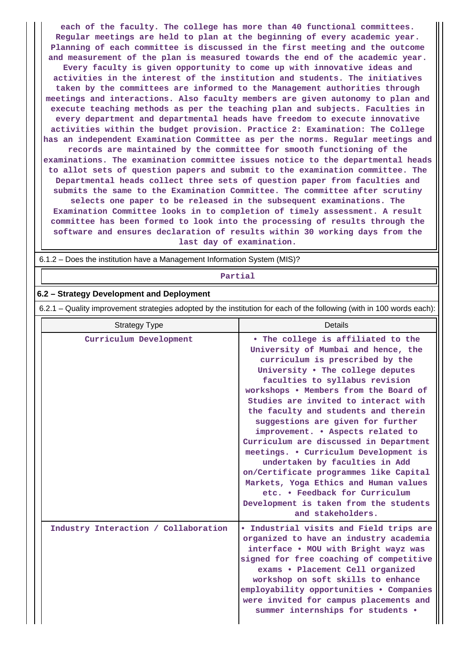**each of the faculty. The college has more than 40 functional committees. Regular meetings are held to plan at the beginning of every academic year. Planning of each committee is discussed in the first meeting and the outcome and measurement of the plan is measured towards the end of the academic year. Every faculty is given opportunity to come up with innovative ideas and activities in the interest of the institution and students. The initiatives taken by the committees are informed to the Management authorities through meetings and interactions. Also faculty members are given autonomy to plan and execute teaching methods as per the teaching plan and subjects. Faculties in every department and departmental heads have freedom to execute innovative activities within the budget provision. Practice 2: Examination: The College has an independent Examination Committee as per the norms. Regular meetings and records are maintained by the committee for smooth functioning of the examinations. The examination committee issues notice to the departmental heads to allot sets of question papers and submit to the examination committee. The Departmental heads collect three sets of question paper from faculties and submits the same to the Examination Committee. The committee after scrutiny selects one paper to be released in the subsequent examinations. The Examination Committee looks in to completion of timely assessment. A result committee has been formed to look into the processing of results through the software and ensures declaration of results within 30 working days from the last day of examination.**

6.1.2 – Does the institution have a Management Information System (MIS)?

**Partial**

## **6.2 – Strategy Development and Deployment**

6.2.1 – Quality improvement strategies adopted by the institution for each of the following (with in 100 words each):

| <b>Strategy Type</b>                 | Details                                                                                                                                                                                                                                                                                                                                                                                                                                                                                                                                                                                                                                                                                        |
|--------------------------------------|------------------------------------------------------------------------------------------------------------------------------------------------------------------------------------------------------------------------------------------------------------------------------------------------------------------------------------------------------------------------------------------------------------------------------------------------------------------------------------------------------------------------------------------------------------------------------------------------------------------------------------------------------------------------------------------------|
| Curriculum Development               | . The college is affiliated to the<br>University of Mumbai and hence, the<br>curriculum is prescribed by the<br>University . The college deputes<br>faculties to syllabus revision<br>workshops . Members from the Board of<br>Studies are invited to interact with<br>the faculty and students and therein<br>suggestions are given for further<br>improvement. . Aspects related to<br>Curriculum are discussed in Department<br>meetings. . Curriculum Development is<br>undertaken by faculties in Add<br>on/Certificate programmes like Capital<br>Markets, Yoga Ethics and Human values<br>etc. • Feedback for Curriculum<br>Development is taken from the students<br>and stakeholders. |
| Industry Interaction / Collaboration | . Industrial visits and Field trips are<br>organized to have an industry academia<br>interface . MOU with Bright wayz was<br>signed for free coaching of competitive<br>exams . Placement Cell organized<br>workshop on soft skills to enhance<br>employability opportunities . Companies<br>were invited for campus placements and<br>summer internships for students .                                                                                                                                                                                                                                                                                                                       |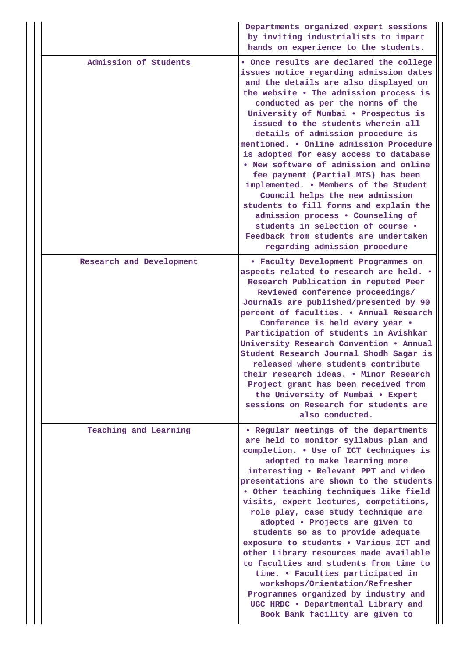|                          | Departments organized expert sessions<br>by inviting industrialists to impart<br>hands on experience to the students.                                                                                                                                                                                                                                                                                                                                                                                                                                                                                                                                                                                                                                                        |
|--------------------------|------------------------------------------------------------------------------------------------------------------------------------------------------------------------------------------------------------------------------------------------------------------------------------------------------------------------------------------------------------------------------------------------------------------------------------------------------------------------------------------------------------------------------------------------------------------------------------------------------------------------------------------------------------------------------------------------------------------------------------------------------------------------------|
| Admission of Students    | . Once results are declared the college<br>issues notice regarding admission dates<br>and the details are also displayed on<br>the website . The admission process is<br>conducted as per the norms of the<br>University of Mumbai . Prospectus is<br>issued to the students wherein all<br>details of admission procedure is<br>mentioned. . Online admission Procedure<br>is adopted for easy access to database<br>. New software of admission and online<br>fee payment (Partial MIS) has been<br>implemented. . Members of the Student<br>Council helps the new admission<br>students to fill forms and explain the<br>admission process . Counseling of<br>students in selection of course .<br>Feedback from students are undertaken<br>regarding admission procedure |
| Research and Development | <b>• Faculty Development Programmes on</b><br>aspects related to research are held. .<br>Research Publication in reputed Peer<br>Reviewed conference proceedings/<br>Journals are published/presented by 90<br>percent of faculties. . Annual Research<br>Conference is held every year .<br>Participation of students in Avishkar<br>University Research Convention . Annual<br>Student Research Journal Shodh Sagar is<br>released where students contribute<br>their research ideas. . Minor Research<br>Project grant has been received from<br>the University of Mumbai . Expert<br>sessions on Research for students are<br>also conducted.                                                                                                                            |
| Teaching and Learning    | . Regular meetings of the departments<br>are held to monitor syllabus plan and<br>completion. . Use of ICT techniques is<br>adopted to make learning more<br>interesting . Relevant PPT and video<br>presentations are shown to the students<br>. Other teaching techniques like field<br>visits, expert lectures, competitions,<br>role play, case study technique are<br>adopted . Projects are given to<br>students so as to provide adequate<br>exposure to students . Various ICT and<br>other Library resources made available<br>to faculties and students from time to<br>time. • Faculties participated in<br>workshops/Orientation/Refresher<br>Programmes organized by industry and<br>UGC HRDC . Departmental Library and<br>Book Bank facility are given to     |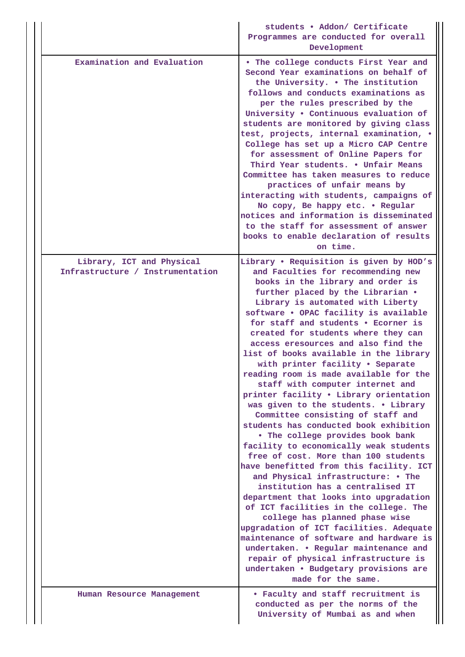|                                                               | students . Addon/ Certificate<br>Programmes are conducted for overall<br>Development                                                                                                                                                                                                                                                                                                                                                                                                                                                                                                                                                                                                                                                                                                                                                                                                                                                                                                                                                                                                                                                                                                                                                                                                          |
|---------------------------------------------------------------|-----------------------------------------------------------------------------------------------------------------------------------------------------------------------------------------------------------------------------------------------------------------------------------------------------------------------------------------------------------------------------------------------------------------------------------------------------------------------------------------------------------------------------------------------------------------------------------------------------------------------------------------------------------------------------------------------------------------------------------------------------------------------------------------------------------------------------------------------------------------------------------------------------------------------------------------------------------------------------------------------------------------------------------------------------------------------------------------------------------------------------------------------------------------------------------------------------------------------------------------------------------------------------------------------|
| Examination and Evaluation                                    | . The college conducts First Year and<br>Second Year examinations on behalf of<br>the University. . The institution<br>follows and conducts examinations as<br>per the rules prescribed by the<br>University . Continuous evaluation of<br>students are monitored by giving class<br>test, projects, internal examination, .<br>College has set up a Micro CAP Centre<br>for assessment of Online Papers for<br>Third Year students. . Unfair Means<br>Committee has taken measures to reduce<br>practices of unfair means by<br>interacting with students, campaigns of<br>No copy, Be happy etc. . Regular<br>notices and information is disseminated<br>to the staff for assessment of answer<br>books to enable declaration of results<br>on time.                                                                                                                                                                                                                                                                                                                                                                                                                                                                                                                                        |
| Library, ICT and Physical<br>Infrastructure / Instrumentation | Library . Requisition is given by HOD's<br>and Faculties for recommending new<br>books in the library and order is<br>further placed by the Librarian .<br>Library is automated with Liberty<br>software . OPAC facility is available<br>for staff and students . Ecorner is<br>created for students where they can<br>access eresources and also find the<br>list of books available in the library<br>with printer facility . Separate<br>reading room is made available for the<br>staff with computer internet and<br>printer facility . Library orientation<br>was given to the students. . Library<br>Committee consisting of staff and<br>students has conducted book exhibition<br>. The college provides book bank<br>facility to economically weak students<br>free of cost. More than 100 students<br>have benefitted from this facility. ICT<br>and Physical infrastructure: • The<br>institution has a centralised IT<br>department that looks into upgradation<br>of ICT facilities in the college. The<br>college has planned phase wise<br>upgradation of ICT facilities. Adequate<br>maintenance of software and hardware is<br>undertaken. • Regular maintenance and<br>repair of physical infrastructure is<br>undertaken • Budgetary provisions are<br>made for the same. |
| Human Resource Management                                     | • Faculty and staff recruitment is<br>conducted as per the norms of the<br>University of Mumbai as and when                                                                                                                                                                                                                                                                                                                                                                                                                                                                                                                                                                                                                                                                                                                                                                                                                                                                                                                                                                                                                                                                                                                                                                                   |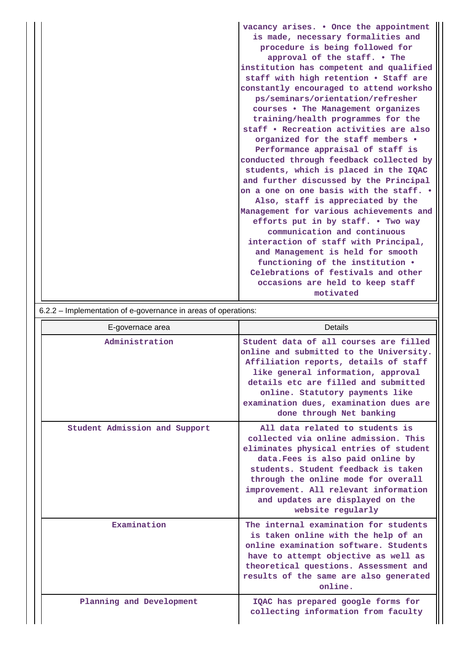| vacancy arises. • Once the appointment  |
|-----------------------------------------|
| is made, necessary formalities and      |
| procedure is being followed for         |
| approval of the staff. . The            |
| institution has competent and qualified |
| staff with high retention . Staff are   |
| constantly encouraged to attend worksho |
| ps/seminars/orientation/refresher       |
| courses . The Management organizes      |
| training/health programmes for the      |
| staff . Recreation activities are also  |
| organized for the staff members .       |
| Performance appraisal of staff is       |
| conducted through feedback collected by |
| students, which is placed in the IQAC   |
| and further discussed by the Principal  |
| on a one on one basis with the staff. . |
| Also, staff is appreciated by the       |
| Management for various achievements and |
| efforts put in by staff. . Two way      |
| communication and continuous            |
| interaction of staff with Principal,    |
| and Management is held for smooth       |
| functioning of the institution .        |
| Celebrations of festivals and other     |
| occasions are held to keep staff        |
| motivated                               |
|                                         |

6.2.2 – Implementation of e-governance in areas of operations:

| E-governace area              | Details                                                                                                                                                                                                                                                                                                                                |
|-------------------------------|----------------------------------------------------------------------------------------------------------------------------------------------------------------------------------------------------------------------------------------------------------------------------------------------------------------------------------------|
| Administration                | Student data of all courses are filled<br>online and submitted to the University.<br>Affiliation reports, details of staff<br>like general information, approval<br>details etc are filled and submitted<br>online. Statutory payments like<br>examination dues, examination dues are<br>done through Net banking                      |
| Student Admission and Support | All data related to students is<br>collected via online admission. This<br>eliminates physical entries of student<br>data. Fees is also paid online by<br>students. Student feedback is taken<br>through the online mode for overall<br>improvement. All relevant information<br>and updates are displayed on the<br>website regularly |
| Examination                   | The internal examination for students<br>is taken online with the help of an<br>online examination software. Students<br>have to attempt objective as well as<br>theoretical questions. Assessment and<br>results of the same are also generated<br>online.                                                                            |
| Planning and Development      | IQAC has prepared google forms for<br>collecting information from faculty                                                                                                                                                                                                                                                              |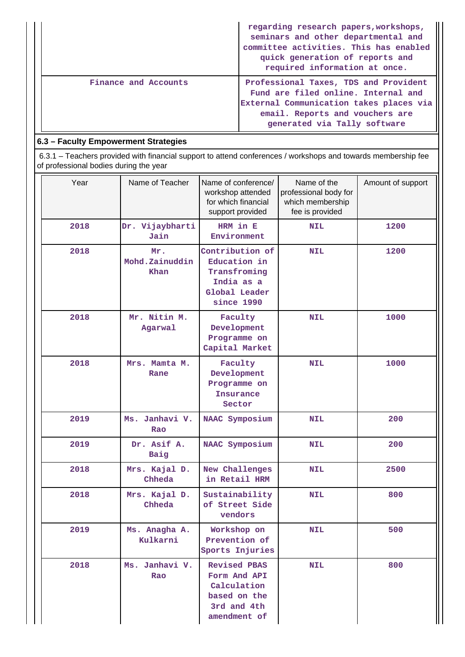|                      | regarding research papers, workshops,<br>seminars and other departmental and<br>committee activities. This has enabled<br>quick generation of reports and<br>required information at once. |
|----------------------|--------------------------------------------------------------------------------------------------------------------------------------------------------------------------------------------|
| Finance and Accounts | Professional Taxes, TDS and Provident<br>Fund are filed online. Internal and<br>External Communication takes places via<br>email. Reports and vouchers are<br>generated via Tally software |

# **6.3 – Faculty Empowerment Strategies**

 6.3.1 – Teachers provided with financial support to attend conferences / workshops and towards membership fee of professional bodies during the year

| Year | Name of Teacher               | Name of conference/<br>Name of the<br>workshop attended<br>professional body for<br>for which financial<br>which membership<br>support provided<br>fee is provided |            | Amount of support |
|------|-------------------------------|--------------------------------------------------------------------------------------------------------------------------------------------------------------------|------------|-------------------|
| 2018 | Dr. Vijaybharti<br>Jain       | HRM in E<br>Environment                                                                                                                                            | <b>NIL</b> | 1200              |
| 2018 | Mr.<br>Mohd.Zainuddin<br>Khan | Contribution of<br>Education in<br>Transfroming<br>India as a<br>Global Leader<br>since 1990                                                                       | <b>NIL</b> | 1200              |
| 2018 | Mr. Nitin M.<br>Agarwal       | Faculty<br>Development<br>Programme on<br>Capital Market                                                                                                           | <b>NIL</b> | 1000              |
| 2018 | Mrs. Mamta M.<br>Rane         | Faculty<br>Development<br>Programme on<br>Insurance<br>Sector                                                                                                      | <b>NIL</b> | 1000              |
| 2019 | Ms. Janhavi V.<br>Rao         | NAAC Symposium                                                                                                                                                     | <b>NIL</b> | 200               |
| 2019 | Dr. Asif A.<br>Baig           | NAAC Symposium                                                                                                                                                     | <b>NIL</b> | 200               |
| 2018 | Mrs. Kajal D.<br>Chheda       | New Challenges<br>in Retail HRM                                                                                                                                    | <b>NIL</b> | 2500              |
| 2018 | Mrs. Kajal D.<br>Chheda       | Sustainability<br>of Street Side<br>vendors                                                                                                                        | <b>NIL</b> | 800               |
| 2019 | Ms. Anagha A.<br>Kulkarni     | Workshop on<br>Prevention of<br>Sports Injuries                                                                                                                    | <b>NIL</b> | 500               |
| 2018 | Ms. Janhavi V.<br>Rao         | <b>Revised PBAS</b><br>Form And API<br>Calculation<br>based on the<br>3rd and 4th<br>amendment of                                                                  | <b>NIL</b> | 800               |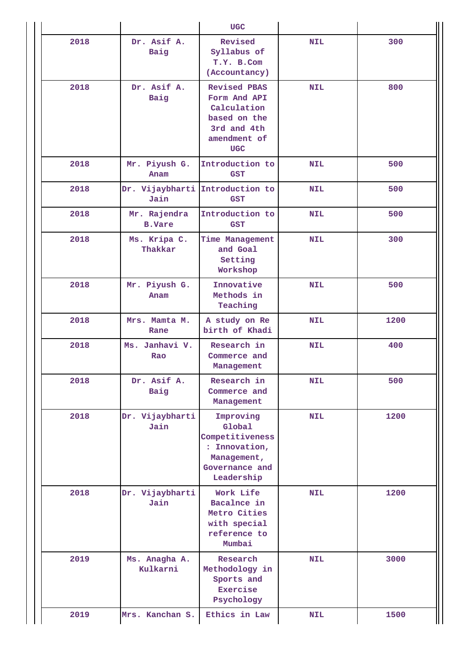|      |                               | <b>UGC</b>                                                                                                      |            |      |
|------|-------------------------------|-----------------------------------------------------------------------------------------------------------------|------------|------|
| 2018 | Dr. Asif A.<br>Baig           | Revised<br>Syllabus of<br>T.Y. B.Com<br>(Accountancy)                                                           | <b>NIL</b> | 300  |
| 2018 | Dr. Asif A.<br>Baig           | <b>Revised PBAS</b><br>Form And API<br>Calculation<br>based on the<br>3rd and 4th<br>amendment of<br><b>UGC</b> | <b>NIL</b> | 800  |
| 2018 | Mr. Piyush G.<br>Anam         | Introduction to<br><b>GST</b>                                                                                   | <b>NIL</b> | 500  |
| 2018 | Jain                          | Dr. Vijaybharti Introduction to<br><b>GST</b>                                                                   | <b>NIL</b> | 500  |
| 2018 | Mr. Rajendra<br><b>B.Vare</b> | Introduction to<br><b>GST</b>                                                                                   | <b>NIL</b> | 500  |
| 2018 | Ms. Kripa C.<br>Thakkar       | Time Management<br>and Goal<br>Setting<br>Workshop                                                              | <b>NIL</b> | 300  |
| 2018 | Mr. Piyush G.<br>Anam         | Innovative<br>Methods in<br>Teaching                                                                            | <b>NIL</b> | 500  |
| 2018 | Mrs. Mamta M.<br>Rane         | A study on Re<br>birth of Khadi                                                                                 | <b>NIL</b> | 1200 |
| 2018 | Ms. Janhavi V.<br>Rao         | Research in<br>Commerce and<br>Management                                                                       | <b>NIL</b> | 400  |
| 2018 | Dr. Asif A.<br>Baig           | Research in<br>Commerce and<br>Management                                                                       | <b>NIL</b> | 500  |
| 2018 | Dr. Vijaybharti<br>Jain       | Improving<br>Global<br>Competitiveness<br>: Innovation,<br>Management,<br>Governance and<br>Leadership          | <b>NIL</b> | 1200 |
| 2018 | Dr. Vijaybharti<br>Jain       | Work Life<br>Bacalnce in<br>Metro Cities<br>with special<br>reference to<br>Mumbai                              | <b>NIL</b> | 1200 |
| 2019 | Ms. Anagha A.<br>Kulkarni     | Research<br>Methodology in<br>Sports and<br>Exercise<br>Psychology                                              | <b>NIL</b> | 3000 |
| 2019 | Mrs. Kanchan S.               | Ethics in Law                                                                                                   | <b>NIL</b> | 1500 |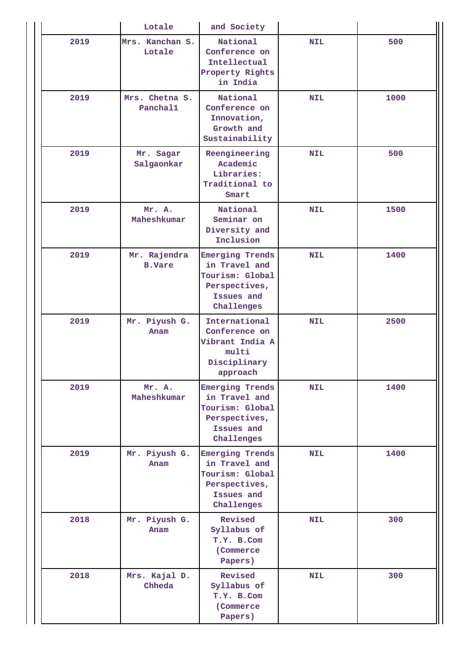|      | Lotale                        | and Society                                                                                             |            |      |
|------|-------------------------------|---------------------------------------------------------------------------------------------------------|------------|------|
| 2019 | Mrs. Kanchan S.<br>Lotale     | National<br>Conference on<br>Intellectual<br>Property Rights<br>in India                                | <b>NIL</b> | 500  |
| 2019 | Mrs. Chetna S.<br>Panchal1    | National<br>Conference on<br>Innovation,<br>Growth and<br>Sustainability                                | <b>NIL</b> | 1000 |
| 2019 | Mr. Sagar<br>Salgaonkar       | Reengineering<br>Academic<br>Libraries:<br>Traditional to<br>Smart                                      | <b>NIL</b> | 500  |
| 2019 | Mr. A.<br>Maheshkumar         | National<br>Seminar on<br>Diversity and<br>Inclusion                                                    | <b>NIL</b> | 1500 |
| 2019 | Mr. Rajendra<br><b>B.Vare</b> | <b>Emerging Trends</b><br>in Travel and<br>Tourism: Global<br>Perspectives,<br>Issues and<br>Challenges | <b>NIL</b> | 1400 |
| 2019 | Mr. Piyush G.<br>Anam         | International<br>Conference on<br>Vibrant India A<br>multi<br>Disciplinary<br>approach                  | <b>NIL</b> | 2500 |
| 2019 | Mr. A.<br>Maheshkumar         | <b>Emerging Trends</b><br>in Travel and<br>Tourism: Global<br>Perspectives,<br>Issues and<br>Challenges | <b>NIL</b> | 1400 |
| 2019 | Mr. Piyush G.<br>Anam         | <b>Emerging Trends</b><br>in Travel and<br>Tourism: Global<br>Perspectives,<br>Issues and<br>Challenges | <b>NIL</b> | 1400 |
| 2018 | Mr. Piyush G.<br>Anam         | Revised<br>Syllabus of<br>T.Y. B.Com<br>(Commerce)<br>Papers)                                           | <b>NIL</b> | 300  |
| 2018 | Mrs. Kajal D.<br>Chheda       | Revised<br>Syllabus of<br>T.Y. B.Com<br>(Commerce)<br>Papers)                                           | <b>NIL</b> | 300  |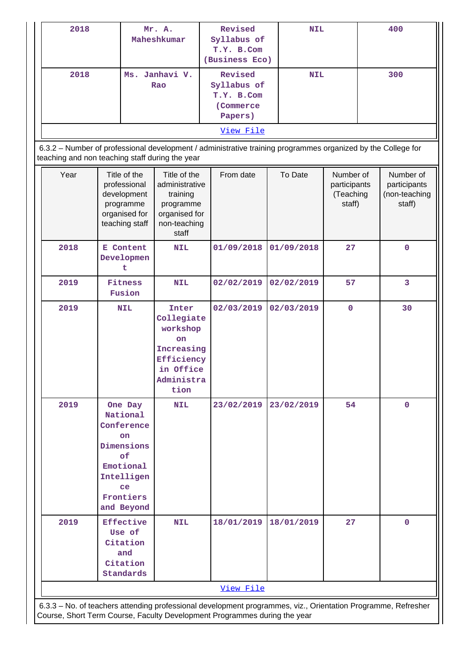| 2018 |                                                                                                                                |     | Mr. A.<br>Maheshkumar                                                                                | Revised<br>Syllabus of<br>T.Y. B.Com<br>(Business Eco)                                                       | <b>NIL</b> |                                                  |  | 400                                                  |
|------|--------------------------------------------------------------------------------------------------------------------------------|-----|------------------------------------------------------------------------------------------------------|--------------------------------------------------------------------------------------------------------------|------------|--------------------------------------------------|--|------------------------------------------------------|
| 2018 |                                                                                                                                | Ms. | Janhavi V.<br>Rao                                                                                    | Revised<br>Syllabus of<br>T.Y. B.Com<br>(Commerce<br>Papers)<br>View File                                    | <b>NIL</b> |                                                  |  | 300                                                  |
|      |                                                                                                                                |     | teaching and non teaching staff during the year                                                      | 6.3.2 - Number of professional development / administrative training programmes organized by the College for |            |                                                  |  |                                                      |
| Year | Title of the<br>professional<br>development<br>programme<br>organised for<br>teaching staff                                    |     | Title of the<br>administrative<br>training<br>programme<br>organised for<br>non-teaching<br>staff    | From date                                                                                                    | To Date    | Number of<br>participants<br>(Teaching<br>staff) |  | Number of<br>participants<br>(non-teaching<br>staff) |
| 2018 | E Content<br>Developmen<br>t                                                                                                   |     | <b>NIL</b>                                                                                           | 01/09/2018                                                                                                   | 01/09/2018 | 27                                               |  | $\mathbf 0$                                          |
| 2019 | Fitness<br>Fusion                                                                                                              |     | <b>NIL</b>                                                                                           | 02/02/2019                                                                                                   | 02/02/2019 | 57                                               |  | 3                                                    |
| 2019 | <b>NIL</b>                                                                                                                     |     | Inter<br>Collegiate<br>workshop<br>on<br>Increasing<br>Efficiency<br>in Office<br>Administra<br>tion | 02/03/2019                                                                                                   | 02/03/2019 | $\mathbf 0$                                      |  | 30                                                   |
| 2019 | One Day<br>National<br>Conference<br><b>on</b><br>Dimensions<br>of<br>Emotional<br>Intelligen<br>ce<br>Frontiers<br>and Beyond |     | <b>NIL</b>                                                                                           | 23/02/2019                                                                                                   | 23/02/2019 | 54                                               |  | $\mathbf 0$                                          |
| 2019 | <b>Effective</b><br>Use of<br>Citation<br>and<br>Citation<br>Standards                                                         |     | <b>NIL</b>                                                                                           | 18/01/2019                                                                                                   | 18/01/2019 | 27                                               |  | $\mathbf 0$                                          |
|      |                                                                                                                                |     |                                                                                                      | View File                                                                                                    |            |                                                  |  |                                                      |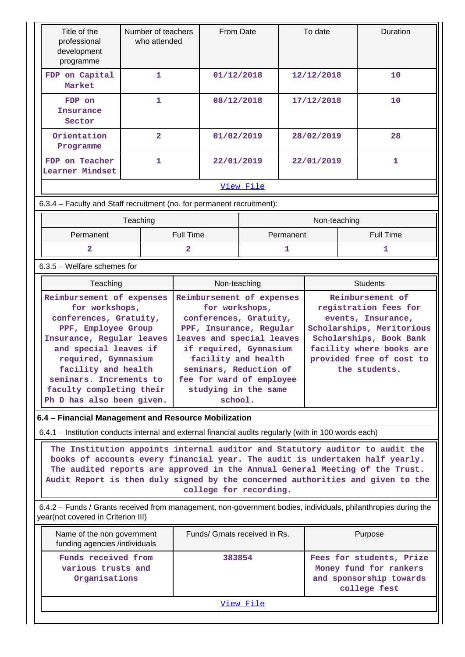| Title of the<br>professional<br>development<br>programme                                                                                                                                                                                                                                                                                                 | Number of teachers<br>who attended        |                                                     | From Date                 |              | To date                                         |                  | Duration                                            |  |
|----------------------------------------------------------------------------------------------------------------------------------------------------------------------------------------------------------------------------------------------------------------------------------------------------------------------------------------------------------|-------------------------------------------|-----------------------------------------------------|---------------------------|--------------|-------------------------------------------------|------------------|-----------------------------------------------------|--|
| FDP on Capital<br>Market                                                                                                                                                                                                                                                                                                                                 | 1                                         |                                                     | 01/12/2018                |              | 12/12/2018                                      |                  | 10                                                  |  |
| FDP on<br><b>Insurance</b><br>Sector                                                                                                                                                                                                                                                                                                                     | 1                                         |                                                     | 08/12/2018                |              | 17/12/2018                                      |                  | 10                                                  |  |
| Orientation<br>Programme                                                                                                                                                                                                                                                                                                                                 | $\overline{2}$                            |                                                     | 01/02/2019                |              | 28/02/2019                                      |                  | 28                                                  |  |
| FDP on Teacher<br>Learner Mindset                                                                                                                                                                                                                                                                                                                        | $\mathbf{1}$                              |                                                     | 22/01/2019                |              | 22/01/2019                                      |                  | $\mathbf{1}$                                        |  |
|                                                                                                                                                                                                                                                                                                                                                          |                                           |                                                     | View File                 |              |                                                 |                  |                                                     |  |
| 6.3.4 - Faculty and Staff recruitment (no. for permanent recruitment):                                                                                                                                                                                                                                                                                   |                                           |                                                     |                           |              |                                                 |                  |                                                     |  |
|                                                                                                                                                                                                                                                                                                                                                          | Teaching                                  |                                                     |                           |              | Non-teaching                                    |                  |                                                     |  |
| Permanent                                                                                                                                                                                                                                                                                                                                                |                                           | <b>Full Time</b>                                    |                           | Permanent    |                                                 | <b>Full Time</b> |                                                     |  |
| $\overline{2}$                                                                                                                                                                                                                                                                                                                                           |                                           | $\overline{2}$                                      |                           | 1            |                                                 |                  | 1                                                   |  |
| 6.3.5 - Welfare schemes for                                                                                                                                                                                                                                                                                                                              |                                           |                                                     |                           |              |                                                 |                  |                                                     |  |
|                                                                                                                                                                                                                                                                                                                                                          | Teaching                                  |                                                     |                           | Non-teaching |                                                 | <b>Students</b>  |                                                     |  |
| Reimbursement of expenses                                                                                                                                                                                                                                                                                                                                |                                           |                                                     | Reimbursement of expenses |              | Reimbursement of                                |                  |                                                     |  |
| for workshops,                                                                                                                                                                                                                                                                                                                                           |                                           |                                                     | for workshops,            |              | registration fees for                           |                  |                                                     |  |
| conferences, Gratuity,                                                                                                                                                                                                                                                                                                                                   |                                           | conferences, Gratuity,                              |                           |              | events, Insurance,<br>Scholarships, Meritorious |                  |                                                     |  |
| PPF, Employee Group                                                                                                                                                                                                                                                                                                                                      |                                           | PPF, Insurance, Regular                             |                           |              |                                                 |                  |                                                     |  |
| Insurance, Regular leaves<br>and special leaves if                                                                                                                                                                                                                                                                                                       |                                           | leaves and special leaves<br>if required, Gymnasium |                           |              |                                                 |                  | Scholarships, Book Bank<br>facility where books are |  |
| required, Gymnasium                                                                                                                                                                                                                                                                                                                                      |                                           | facility and health                                 |                           |              |                                                 |                  | provided free of cost to                            |  |
| facility and health                                                                                                                                                                                                                                                                                                                                      |                                           | seminars, Reduction of                              |                           |              |                                                 |                  | the students.                                       |  |
| seminars. Increments to                                                                                                                                                                                                                                                                                                                                  |                                           | fee for ward of employee                            |                           |              |                                                 |                  |                                                     |  |
| faculty completing their                                                                                                                                                                                                                                                                                                                                 |                                           | studying in the same                                |                           |              |                                                 |                  |                                                     |  |
| Ph D has also been given.                                                                                                                                                                                                                                                                                                                                |                                           |                                                     | school.                   |              |                                                 |                  |                                                     |  |
| 6.4 - Financial Management and Resource Mobilization                                                                                                                                                                                                                                                                                                     |                                           |                                                     |                           |              |                                                 |                  |                                                     |  |
| 6.4.1 – Institution conducts internal and external financial audits regularly (with in 100 words each)                                                                                                                                                                                                                                                   |                                           |                                                     |                           |              |                                                 |                  |                                                     |  |
| The Institution appoints internal auditor and Statutory auditor to audit the<br>books of accounts every financial year. The audit is undertaken half yearly.<br>The audited reports are approved in the Annual General Meeting of the Trust.<br>Audit Report is then duly signed by the concerned authorities and given to the<br>college for recording. |                                           |                                                     |                           |              |                                                 |                  |                                                     |  |
| 6.4.2 - Funds / Grants received from management, non-government bodies, individuals, philanthropies during the<br>year(not covered in Criterion III)                                                                                                                                                                                                     |                                           |                                                     |                           |              |                                                 |                  |                                                     |  |
| Name of the non government<br>funding agencies /individuals                                                                                                                                                                                                                                                                                              |                                           | Funds/ Grnats received in Rs.                       |                           |              |                                                 |                  | Purpose                                             |  |
|                                                                                                                                                                                                                                                                                                                                                          | Funds received from<br>various trusts and |                                                     |                           |              |                                                 |                  | Fees for students, Prize<br>Money fund for rankers  |  |

[View File](https://assessmentonline.naac.gov.in/public/Postacc/Funds_or_Grants/1973_Funds_or_Grants_1575516826.xlsx)

**and sponsorship towards college fest**

**Organisations**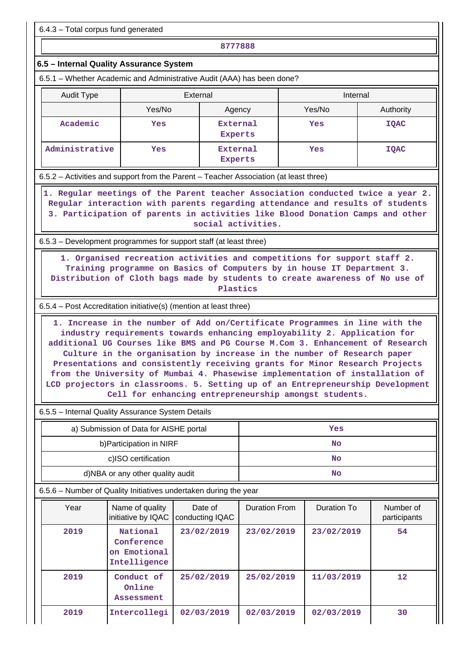6.4.3 – Total corpus fund generated

**8777888**

## **6.5 – Internal Quality Assurance System**

6.5.1 – Whether Academic and Administrative Audit (AAA) has been done?

| Audit Type     | External |                     | Internal |             |
|----------------|----------|---------------------|----------|-------------|
|                | Yes/No   | Agency              | Yes/No   | Authority   |
| Academic       | Yes      | External<br>Experts | Yes      | <b>IQAC</b> |
| Administrative | Yes      | External<br>Experts | Yes      | <b>IQAC</b> |

6.5.2 – Activities and support from the Parent – Teacher Association (at least three)

 **1. Regular meetings of the Parent teacher Association conducted twice a year 2. Regular interaction with parents regarding attendance and results of students 3. Participation of parents in activities like Blood Donation Camps and other social activities.**

6.5.3 – Development programmes for support staff (at least three)

 **1. Organised recreation activities and competitions for support staff 2. Training programme on Basics of Computers by in house IT Department 3. Distribution of Cloth bags made by students to create awareness of No use of Plastics**

6.5.4 – Post Accreditation initiative(s) (mention at least three)

 **1. Increase in the number of Add on/Certificate Programmes in line with the industry requirements towards enhancing employability 2. Application for additional UG Courses like BMS and PG Course M.Com 3. Enhancement of Research Culture in the organisation by increase in the number of Research paper Presentations and consistently receiving grants for Minor Research Projects from the University of Mumbai 4. Phasewise implementation of installation of LCD projectors in classrooms. 5. Setting up of an Entrepreneurship Development Cell for enhancing entrepreneurship amongst students.**

6.5.5 – Internal Quality Assurance System Details

| a) Submission of Data for AISHE portal | Yes |
|----------------------------------------|-----|
| b) Participation in NIRF               | No  |
| c)ISO certification                    | No  |
| d)NBA or any other quality audit       | No  |

6.5.6 – Number of Quality Initiatives undertaken during the year

| Year | Name of quality<br>initiative by IQAC                  | Date of<br>conducting IQAC | <b>Duration From</b> | Duration To | Number of<br>participants |
|------|--------------------------------------------------------|----------------------------|----------------------|-------------|---------------------------|
| 2019 | National<br>Conference<br>on Emotional<br>Intelligence | 23/02/2019                 | 23/02/2019           | 23/02/2019  | 54                        |
| 2019 | Conduct of<br>Online<br>Assessment                     | 25/02/2019                 | 25/02/2019           | 11/03/2019  | $12 \overline{ }$         |
| 2019 | Intercollegi                                           | 02/03/2019                 | 02/03/2019           | 02/03/2019  | 30                        |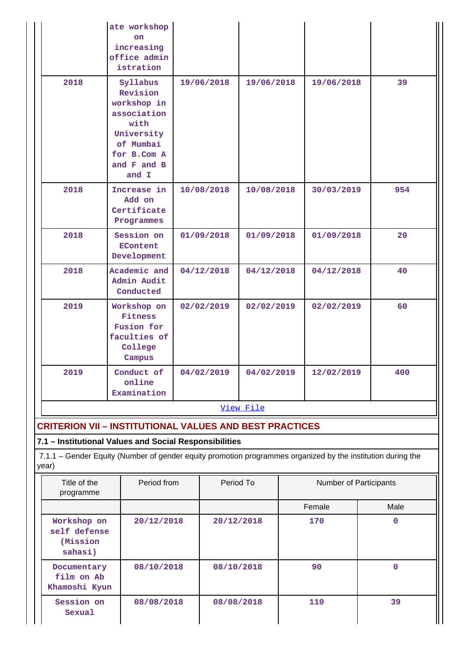| View File |                                                                                                                                  |            |            |            |     |  |  |  |
|-----------|----------------------------------------------------------------------------------------------------------------------------------|------------|------------|------------|-----|--|--|--|
| 2019      | Conduct of<br>online<br>Examination                                                                                              | 04/02/2019 | 04/02/2019 | 12/02/2019 | 400 |  |  |  |
| 2019      | Workshop on<br>Fitness<br>Fusion for<br>faculties of<br>College<br>Campus                                                        | 02/02/2019 | 02/02/2019 | 02/02/2019 | 60  |  |  |  |
| 2018      | Academic and<br>Admin Audit<br>Conducted                                                                                         | 04/12/2018 | 04/12/2018 | 04/12/2018 | 40  |  |  |  |
| 2018      | Session on<br><b>EContent</b><br>Development                                                                                     | 01/09/2018 | 01/09/2018 | 01/09/2018 | 20  |  |  |  |
| 2018      | Increase in<br>Add on<br>Certificate<br>Programmes                                                                               | 10/08/2018 | 10/08/2018 | 30/03/2019 | 954 |  |  |  |
| 2018      | Syllabus<br>Revision<br>workshop in<br>association<br>with<br>University<br>of Mumbai<br>for B.Com A<br>and $F$ and $B$<br>and I | 19/06/2018 | 19/06/2018 | 19/06/2018 | 39  |  |  |  |
|           | ate workshop<br>on.<br>increasing<br>office admin<br>istration                                                                   |            |            |            |     |  |  |  |

# **CRITERION VII – INSTITUTIONAL VALUES AND BEST PRACTICES**

# **7.1 – Institutional Values and Social Responsibilities**

 7.1.1 – Gender Equity (Number of gender equity promotion programmes organized by the institution during the year)

| Title of the<br>programme                           | Period from | Period To  | <b>Number of Participants</b> |      |
|-----------------------------------------------------|-------------|------------|-------------------------------|------|
|                                                     |             |            | Female                        | Male |
| Workshop on<br>self defense<br>(Mission)<br>sahasi) | 20/12/2018  | 20/12/2018 | 170                           | O    |
| Documentary<br>film on Ab<br>Khamoshi Kyun          | 08/10/2018  | 08/10/2018 | 90                            | 0    |
| Session on<br>Sexual                                | 08/08/2018  | 08/08/2018 | 110                           | 39   |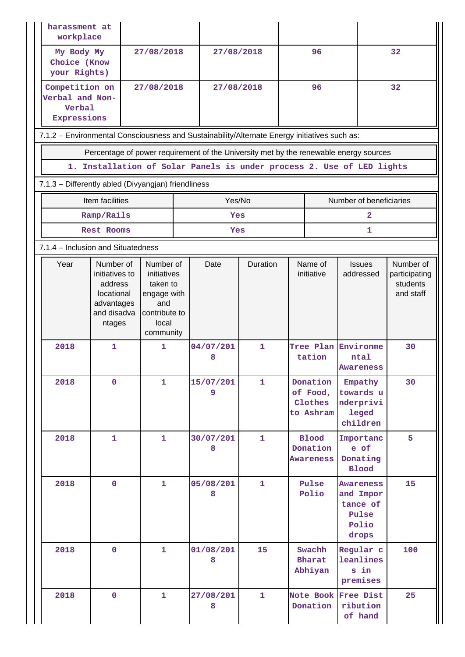| harassment at<br>workplace                                 |                                                                                              |                                                                                      |  |                |              |                                              |                         |                                                                      |                                        |  |  |
|------------------------------------------------------------|----------------------------------------------------------------------------------------------|--------------------------------------------------------------------------------------|--|----------------|--------------|----------------------------------------------|-------------------------|----------------------------------------------------------------------|----------------------------------------|--|--|
| My Body My<br>Choice (Know<br>your Rights)                 |                                                                                              | 27/08/2018                                                                           |  | 27/08/2018     |              | 96                                           |                         |                                                                      | 32                                     |  |  |
| Competition on<br>Verbal and Non-<br>Verbal<br>Expressions |                                                                                              | 27/08/2018                                                                           |  | 27/08/2018     |              | 96                                           |                         |                                                                      | 32                                     |  |  |
|                                                            | 7.1.2 - Environmental Consciousness and Sustainability/Alternate Energy initiatives such as: |                                                                                      |  |                |              |                                              |                         |                                                                      |                                        |  |  |
|                                                            | Percentage of power requirement of the University met by the renewable energy sources        |                                                                                      |  |                |              |                                              |                         |                                                                      |                                        |  |  |
|                                                            | 1. Installation of Solar Panels is under process 2. Use of LED lights                        |                                                                                      |  |                |              |                                              |                         |                                                                      |                                        |  |  |
| 7.1.3 - Differently abled (Divyangjan) friendliness        |                                                                                              |                                                                                      |  |                |              |                                              |                         |                                                                      |                                        |  |  |
|                                                            | Item facilities                                                                              |                                                                                      |  | Yes/No         |              |                                              | Number of beneficiaries |                                                                      |                                        |  |  |
|                                                            | Ramp/Rails<br>Rest Rooms                                                                     |                                                                                      |  | Yes<br>Yes     |              |                                              |                         | $\mathbf{2}$<br>1                                                    |                                        |  |  |
| 7.1.4 - Inclusion and Situatedness                         |                                                                                              |                                                                                      |  |                |              |                                              |                         |                                                                      |                                        |  |  |
| Year                                                       | Number of                                                                                    | Number of                                                                            |  | Date           | Duration     |                                              | Name of                 | <b>Issues</b>                                                        | Number of                              |  |  |
|                                                            | initiatives to<br>address<br>locational<br>advantages<br>and disadva<br>ntages               | initiatives<br>taken to<br>engage with<br>and<br>contribute to<br>local<br>community |  |                |              |                                              | initiative              | addressed                                                            | participating<br>students<br>and staff |  |  |
| 2018                                                       | $\mathbf{1}$                                                                                 | 1                                                                                    |  | 04/07/201<br>8 | $\mathbf{1}$ |                                              | tation                  | Tree Plan Environme<br>ntal<br>Awareness                             | 30                                     |  |  |
| 2018                                                       | $\mathbf 0$                                                                                  | 1                                                                                    |  | 15/07/201<br>9 | $\mathbf{1}$ | Donation<br>of Food,<br>Clothes<br>to Ashram |                         | Empathy<br>towards u<br>nderprivi<br><b>leged</b><br>children        | 30                                     |  |  |
| 2018                                                       | $\mathbf{1}$                                                                                 | 1                                                                                    |  | 30/07/201<br>8 | 1            | <b>Blood</b><br>Donation<br><b>Awareness</b> |                         | Importanc<br>e of<br>Donating<br><b>Blood</b>                        | 5                                      |  |  |
| 2018                                                       | $\mathbf 0$                                                                                  | 1                                                                                    |  | 05/08/201<br>8 | 1            | Pulse<br>Polio                               |                         | <b>Awareness</b><br>and Impor<br>tance of<br>Pulse<br>Polio<br>drops | 15                                     |  |  |
| 2018                                                       | $\mathbf 0$                                                                                  | $\mathbf{1}$                                                                         |  | 01/08/201<br>8 | 15           | Swachh<br><b>Bharat</b><br>Abhiyan           |                         | Regular c<br>leanlines<br>s in<br>premises                           | 100                                    |  |  |
| 2018                                                       | $\mathbf 0$                                                                                  | 1                                                                                    |  | 27/08/201<br>8 | $\mathbf{1}$ |                                              | Donation                | Note Book Free Dist<br>ribution<br>of hand                           | 25                                     |  |  |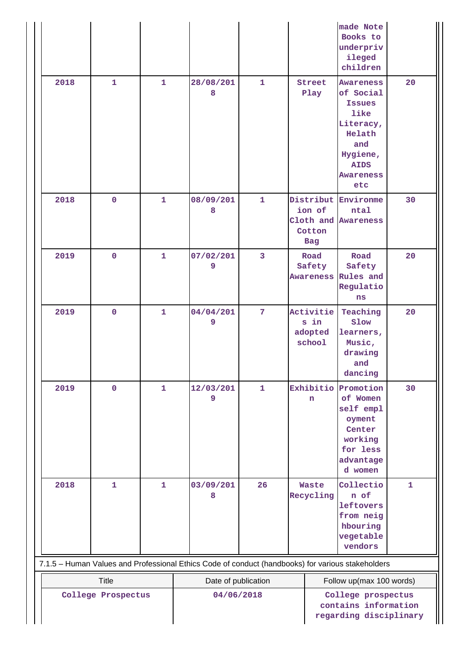|                                                                                                   |                    |              |                     |                                                                                    |                                                                              | made Note<br>Books to<br>underpriv<br>ileged<br>children                                                                                   |              |
|---------------------------------------------------------------------------------------------------|--------------------|--------------|---------------------|------------------------------------------------------------------------------------|------------------------------------------------------------------------------|--------------------------------------------------------------------------------------------------------------------------------------------|--------------|
| 2018                                                                                              | $\mathbf{1}$       | $\mathbf{1}$ | 28/08/201<br>8      | $\mathbf{1}$                                                                       | Street<br>Play                                                               | <b>Awareness</b><br>of Social<br><b>Issues</b><br>like<br>Literacy,<br>Helath<br>and<br>Hygiene,<br><b>AIDS</b><br><b>Awareness</b><br>etc | 20           |
| 2018                                                                                              | $\mathbf 0$        | 1            | 08/09/201<br>8      | $\mathbf{1}$                                                                       | Distribut Environme<br>ion of<br>Cloth and Awareness<br>Cotton<br><b>Bag</b> | ntal                                                                                                                                       | 30           |
| 2019                                                                                              | $\mathbf 0$        | $\mathbf{1}$ | 07/02/201<br>9      | 3                                                                                  | Road<br>Safety<br>Awareness Rules and                                        | Road<br>Safety<br>Regulatio<br>ns                                                                                                          | 20           |
| 2019                                                                                              | $\mathbf 0$        | $\mathbf{1}$ | 04/04/201<br>9      | 7                                                                                  | Activitie<br>s in<br>adopted<br>school                                       | Teaching<br>Slow<br>learners,<br>Music,<br>drawing<br>and<br>dancing                                                                       | 20           |
| 2019                                                                                              | $\mathbf 0$        | 1            | 12/03/201<br>9      | $\mathbf{1}$                                                                       | Exhibitio<br>n                                                               | Promotion<br>of Women<br>self empl<br>oyment<br>Center<br>working<br>for less<br>advantage<br>d women                                      | 30           |
| 2018                                                                                              | $\mathbf{1}$       | $\mathbf{1}$ | 03/09/201<br>8      | 26                                                                                 | <b>Waste</b><br>Recycling                                                    | Collectio<br>n of<br>leftovers<br>from neig<br>hbouring<br>vegetable<br>vendors                                                            | $\mathbf{1}$ |
| 7.1.5 - Human Values and Professional Ethics Code of conduct (handbooks) for various stakeholders |                    |              |                     |                                                                                    |                                                                              |                                                                                                                                            |              |
| <b>Title</b>                                                                                      |                    |              | Date of publication |                                                                                    | Follow up(max 100 words)                                                     |                                                                                                                                            |              |
|                                                                                                   | College Prospectus |              |                     | 04/06/2018<br>College prospectus<br>contains information<br>regarding disciplinary |                                                                              |                                                                                                                                            |              |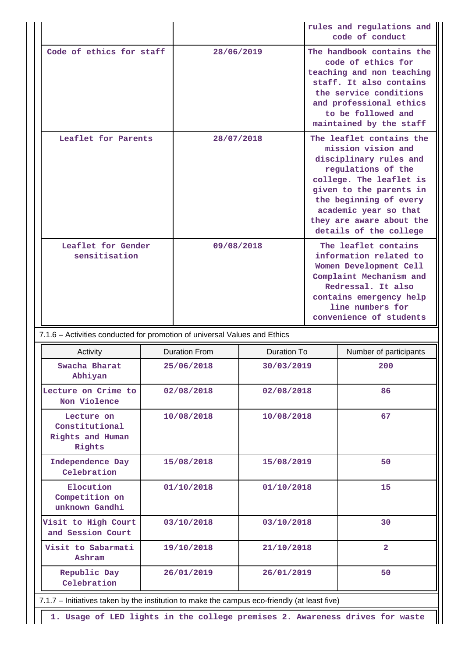|                                                                                              |            |                      |                    |                                                                                                                                                                                                                                                               | rules and regulations and<br>code of conduct |  |
|----------------------------------------------------------------------------------------------|------------|----------------------|--------------------|---------------------------------------------------------------------------------------------------------------------------------------------------------------------------------------------------------------------------------------------------------------|----------------------------------------------|--|
| Code of ethics for staff                                                                     |            | 28/06/2019           |                    | The handbook contains the<br>code of ethics for<br>teaching and non teaching<br>staff. It also contains<br>the service conditions<br>and professional ethics<br>to be followed and<br>maintained by the staff                                                 |                                              |  |
| Leaflet for Parents                                                                          |            | 28/07/2018           |                    | The leaflet contains the<br>mission vision and<br>disciplinary rules and<br>regulations of the<br>college. The leaflet is<br>given to the parents in<br>the beginning of every<br>academic year so that<br>they are aware about the<br>details of the college |                                              |  |
| Leaflet for Gender<br>sensitisation                                                          |            | 09/08/2018           |                    | The leaflet contains<br>information related to<br>Women Development Cell<br>Complaint Mechanism and<br>Redressal. It also<br>contains emergency help<br>line numbers for<br>convenience of students                                                           |                                              |  |
| 7.1.6 - Activities conducted for promotion of universal Values and Ethics                    |            |                      |                    |                                                                                                                                                                                                                                                               |                                              |  |
| Activity                                                                                     |            | <b>Duration From</b> | <b>Duration To</b> |                                                                                                                                                                                                                                                               | Number of participants                       |  |
| Swacha Bharat<br>Abhiyan                                                                     | 25/06/2018 |                      | 30/03/2019         |                                                                                                                                                                                                                                                               | 200                                          |  |
| Lecture on Crime to<br>Non Violence                                                          |            | 02/08/2018           | 02/08/2018         |                                                                                                                                                                                                                                                               | 86                                           |  |
| Lecture on<br>Constitutional<br>Rights and Human<br>Rights                                   | 10/08/2018 |                      | 10/08/2018         |                                                                                                                                                                                                                                                               | 67                                           |  |
| Independence Day<br>Celebration                                                              |            | 15/08/2018           | 15/08/2019         |                                                                                                                                                                                                                                                               | 50                                           |  |
| Elocution<br>Competition on<br>unknown Gandhi                                                |            | 01/10/2018           | 01/10/2018         |                                                                                                                                                                                                                                                               | 15                                           |  |
| Visit to High Court<br>and Session Court                                                     | 03/10/2018 |                      | 03/10/2018         |                                                                                                                                                                                                                                                               | 30                                           |  |
| Visit to Sabarmati<br>Ashram                                                                 |            | 19/10/2018           | 21/10/2018         |                                                                                                                                                                                                                                                               | $\overline{a}$                               |  |
| Republic Day<br>Celebration                                                                  |            | 26/01/2019           | 26/01/2019         |                                                                                                                                                                                                                                                               | 50                                           |  |
| 7.1.7 - Initiatives taken by the institution to make the campus eco-friendly (at least five) |            |                      |                    |                                                                                                                                                                                                                                                               |                                              |  |
| 1. Usage of LED lights in the college premises 2. Awareness drives for waste                 |            |                      |                    |                                                                                                                                                                                                                                                               |                                              |  |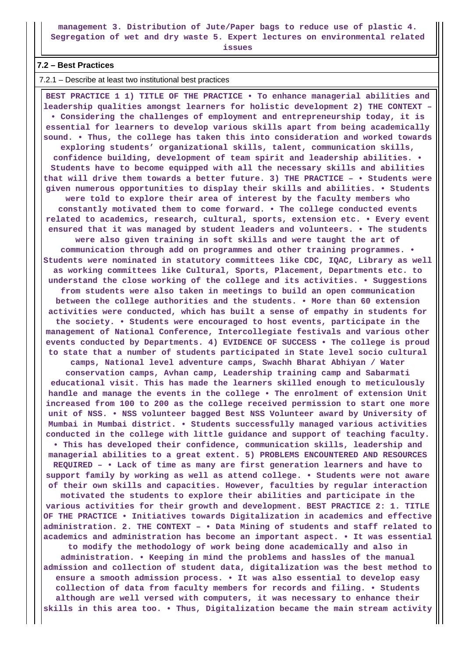**management 3. Distribution of Jute/Paper bags to reduce use of plastic 4. Segregation of wet and dry waste 5. Expert lectures on environmental related**

**issues**

#### **7.2 – Best Practices**

7.2.1 – Describe at least two institutional best practices

 **BEST PRACTICE 1 1) TITLE OF THE PRACTICE • To enhance managerial abilities and leadership qualities amongst learners for holistic development 2) THE CONTEXT – • Considering the challenges of employment and entrepreneurship today, it is essential for learners to develop various skills apart from being academically sound. • Thus, the college has taken this into consideration and worked towards exploring students' organizational skills, talent, communication skills, confidence building, development of team spirit and leadership abilities. • Students have to become equipped with all the necessary skills and abilities that will drive them towards a better future. 3) THE PRACTICE – • Students were given numerous opportunities to display their skills and abilities. • Students were told to explore their area of interest by the faculty members who constantly motivated them to come forward. • The college conducted events related to academics, research, cultural, sports, extension etc. • Every event ensured that it was managed by student leaders and volunteers. • The students were also given training in soft skills and were taught the art of communication through add on programmes and other training programmes. • Students were nominated in statutory committees like CDC, IQAC, Library as well as working committees like Cultural, Sports, Placement, Departments etc. to understand the close working of the college and its activities. • Suggestions from students were also taken in meetings to build an open communication between the college authorities and the students. • More than 60 extension activities were conducted, which has built a sense of empathy in students for the society. • Students were encouraged to host events, participate in the management of National Conference, Intercollegiate festivals and various other events conducted by Departments. 4) EVIDENCE OF SUCCESS • The college is proud to state that a number of students participated in State level socio cultural camps, National level adventure camps, Swachh Bharat Abhiyan / Water conservation camps, Avhan camp, Leadership training camp and Sabarmati educational visit. This has made the learners skilled enough to meticulously handle and manage the events in the college • The enrolment of extension Unit increased from 100 to 200 as the college received permission to start one more unit of NSS. • NSS volunteer bagged Best NSS Volunteer award by University of Mumbai in Mumbai district. • Students successfully managed various activities conducted in the college with little guidance and support of teaching faculty. • This has developed their confidence, communication skills, leadership and managerial abilities to a great extent. 5) PROBLEMS ENCOUNTERED AND RESOURCES REQUIRED – • Lack of time as many are first generation learners and have to support family by working as well as attend college. • Students were not aware of their own skills and capacities. However, faculties by regular interaction motivated the students to explore their abilities and participate in the various activities for their growth and development. BEST PRACTICE 2: 1. TITLE OF THE PRACTICE • Initiatives towards Digitalization in academics and effective administration. 2. THE CONTEXT – • Data Mining of students and staff related to academics and administration has become an important aspect. • It was essential to modify the methodology of work being done academically and also in administration. • Keeping in mind the problems and hassles of the manual admission and collection of student data, digitalization was the best method to ensure a smooth admission process. • It was also essential to develop easy collection of data from faculty members for records and filing. • Students although are well versed with computers, it was necessary to enhance their skills in this area too. • Thus, Digitalization became the main stream activity**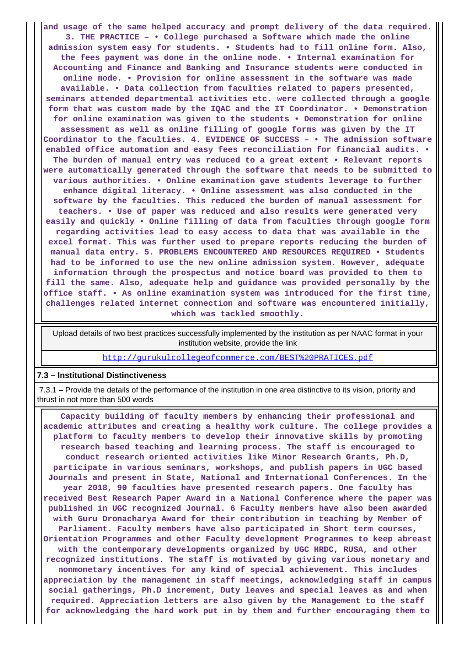**and usage of the same helped accuracy and prompt delivery of the data required. 3. THE PRACTICE – • College purchased a Software which made the online admission system easy for students. • Students had to fill online form. Also, the fees payment was done in the online mode. • Internal examination for Accounting and Finance and Banking and Insurance students were conducted in online mode. • Provision for online assessment in the software was made available. • Data collection from faculties related to papers presented, seminars attended departmental activities etc. were collected through a google form that was custom made by the IQAC and the IT Coordinator. • Demonstration for online examination was given to the students • Demonstration for online assessment as well as online filling of google forms was given by the IT Coordinator to the faculties. 4. EVIDENCE OF SUCCESS – • The admission software enabled office automation and easy fees reconciliation for financial audits. • The burden of manual entry was reduced to a great extent • Relevant reports were automatically generated through the software that needs to be submitted to various authorities. • Online examination gave students leverage to further enhance digital literacy. • Online assessment was also conducted in the software by the faculties. This reduced the burden of manual assessment for teachers. • Use of paper was reduced and also results were generated very easily and quickly • Online filling of data from faculties through google form regarding activities lead to easy access to data that was available in the excel format. This was further used to prepare reports reducing the burden of manual data entry. 5. PROBLEMS ENCOUNTERED AND RESOURCES REQUIRED • Students had to be informed to use the new online admission system. However, adequate information through the prospectus and notice board was provided to them to fill the same. Also, adequate help and guidance was provided personally by the office staff. • As online examination system was introduced for the first time, challenges related internet connection and software was encountered initially, which was tackled smoothly.**

 Upload details of two best practices successfully implemented by the institution as per NAAC format in your institution website, provide the link

<http://gurukulcollegeofcommerce.com/BEST%20PRATICES.pdf>

#### **7.3 – Institutional Distinctiveness**

 7.3.1 – Provide the details of the performance of the institution in one area distinctive to its vision, priority and thrust in not more than 500 words

 **Capacity building of faculty members by enhancing their professional and academic attributes and creating a healthy work culture. The college provides a platform to faculty members to develop their innovative skills by promoting research based teaching and learning process. The staff is encouraged to conduct research oriented activities like Minor Research Grants, Ph.D, participate in various seminars, workshops, and publish papers in UGC based Journals and present in State, National and International Conferences. In the year 2018, 90 faculties have presented research papers. One faculty has received Best Research Paper Award in a National Conference where the paper was published in UGC recognized Journal. 6 Faculty members have also been awarded with Guru Dronacharya Award for their contribution in teaching by Member of Parliament. Faculty members have also participated in Short term courses, Orientation Programmes and other Faculty development Programmes to keep abreast with the contemporary developments organized by UGC HRDC, RUSA, and other recognized institutions. The staff is motivated by giving various monetary and nonmonetary incentives for any kind of special achievement. This includes appreciation by the management in staff meetings, acknowledging staff in campus social gatherings, Ph.D increment, Duty leaves and special leaves as and when required. Appreciation letters are also given by the Management to the staff for acknowledging the hard work put in by them and further encouraging them to**